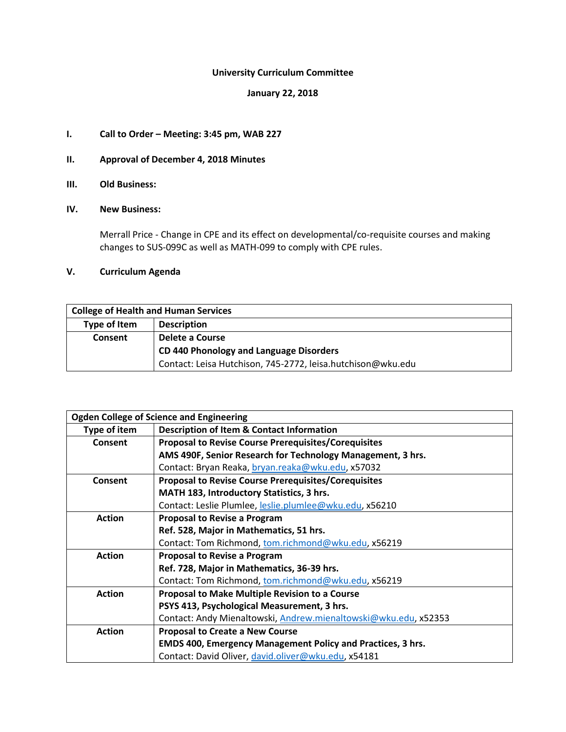# **University Curriculum Committee**

### **January 22, 2018**

# **I. Call to Order – Meeting: 3:45 pm, WAB 227**

# **II. Approval of December 4, 2018 Minutes**

**III. Old Business:**

# **IV. New Business:**

Merrall Price - Change in CPE and its effect on developmental/co-requisite courses and making changes to SUS-099C as well as MATH-099 to comply with CPE rules.

# **V. Curriculum Agenda**

| <b>College of Health and Human Services</b> |                                                             |  |
|---------------------------------------------|-------------------------------------------------------------|--|
| Type of Item                                | <b>Description</b>                                          |  |
| <b>Consent</b>                              | Delete a Course                                             |  |
| CD 440 Phonology and Language Disorders     |                                                             |  |
|                                             | Contact: Leisa Hutchison, 745-2772, leisa.hutchison@wku.edu |  |

| <b>Ogden College of Science and Engineering</b> |                                                                    |  |  |
|-------------------------------------------------|--------------------------------------------------------------------|--|--|
| Type of item                                    | <b>Description of Item &amp; Contact Information</b>               |  |  |
| Consent                                         | <b>Proposal to Revise Course Prerequisites/Corequisites</b>        |  |  |
|                                                 | AMS 490F, Senior Research for Technology Management, 3 hrs.        |  |  |
|                                                 | Contact: Bryan Reaka, bryan.reaka@wku.edu, x57032                  |  |  |
| Consent                                         | <b>Proposal to Revise Course Prerequisites/Corequisites</b>        |  |  |
|                                                 | MATH 183, Introductory Statistics, 3 hrs.                          |  |  |
|                                                 | Contact: Leslie Plumlee, leslie.plumlee@wku.edu, x56210            |  |  |
| <b>Action</b>                                   | Proposal to Revise a Program                                       |  |  |
|                                                 | Ref. 528, Major in Mathematics, 51 hrs.                            |  |  |
|                                                 | Contact: Tom Richmond, tom.richmond@wku.edu, x56219                |  |  |
| <b>Action</b>                                   | <b>Proposal to Revise a Program</b>                                |  |  |
|                                                 | Ref. 728, Major in Mathematics, 36-39 hrs.                         |  |  |
|                                                 | Contact: Tom Richmond, tom.richmond@wku.edu, x56219                |  |  |
| <b>Action</b>                                   | Proposal to Make Multiple Revision to a Course                     |  |  |
|                                                 | PSYS 413, Psychological Measurement, 3 hrs.                        |  |  |
|                                                 | Contact: Andy Mienaltowski, Andrew.mienaltowski@wku.edu, x52353    |  |  |
| <b>Action</b>                                   | <b>Proposal to Create a New Course</b>                             |  |  |
|                                                 | <b>EMDS 400, Emergency Management Policy and Practices, 3 hrs.</b> |  |  |
|                                                 | Contact: David Oliver, david.oliver@wku.edu, x54181                |  |  |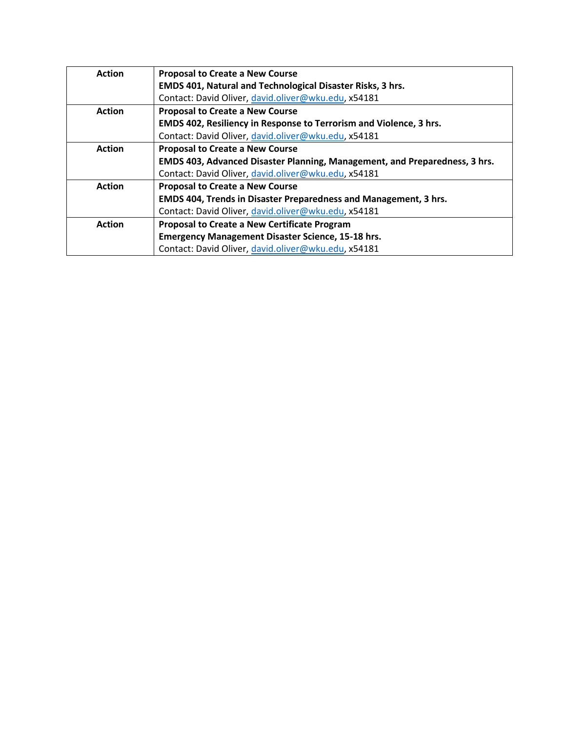| <b>Action</b> | <b>Proposal to Create a New Course</b>                                     |  |
|---------------|----------------------------------------------------------------------------|--|
|               | <b>EMDS 401, Natural and Technological Disaster Risks, 3 hrs.</b>          |  |
|               | Contact: David Oliver, david.oliver@wku.edu, x54181                        |  |
| <b>Action</b> | <b>Proposal to Create a New Course</b>                                     |  |
|               | EMDS 402, Resiliency in Response to Terrorism and Violence, 3 hrs.         |  |
|               | Contact: David Oliver, david.oliver@wku.edu, x54181                        |  |
| <b>Action</b> | <b>Proposal to Create a New Course</b>                                     |  |
|               | EMDS 403, Advanced Disaster Planning, Management, and Preparedness, 3 hrs. |  |
|               | Contact: David Oliver, david.oliver@wku.edu, x54181                        |  |
| <b>Action</b> | <b>Proposal to Create a New Course</b>                                     |  |
|               | <b>EMDS 404, Trends in Disaster Preparedness and Management, 3 hrs.</b>    |  |
|               | Contact: David Oliver, david.oliver@wku.edu, x54181                        |  |
| <b>Action</b> | Proposal to Create a New Certificate Program                               |  |
|               | <b>Emergency Management Disaster Science, 15-18 hrs.</b>                   |  |
|               | Contact: David Oliver, david.oliver@wku.edu, x54181                        |  |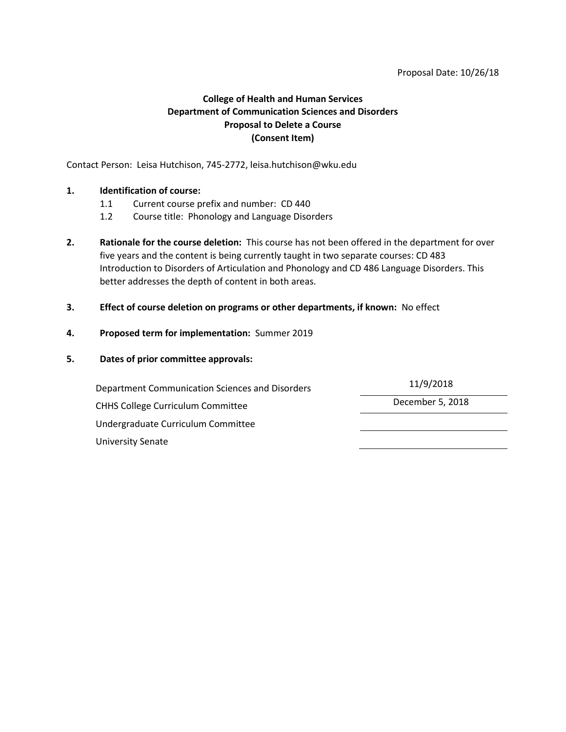#### Proposal Date: 10/26/18

# **College of Health and Human Services Department of Communication Sciences and Disorders Proposal to Delete a Course (Consent Item)**

Contact Person: Leisa Hutchison, 745-2772, leisa.hutchison@wku.edu

## **1. Identification of course:**

- 1.1 Current course prefix and number: CD 440
- 1.2 Course title: Phonology and Language Disorders
- **2. Rationale for the course deletion:** This course has not been offered in the department for over five years and the content is being currently taught in two separate courses: CD 483 Introduction to Disorders of Articulation and Phonology and CD 486 Language Disorders. This better addresses the depth of content in both areas.

## **3. Effect of course deletion on programs or other departments, if known:** No effect

## **4. Proposed term for implementation:** Summer 2019

## **5. Dates of prior committee approvals:**

Department Communication Sciences and Disorders 11/9/2018 CHHS College Curriculum Committee **December 5, 2018** Undergraduate Curriculum Committee University Senate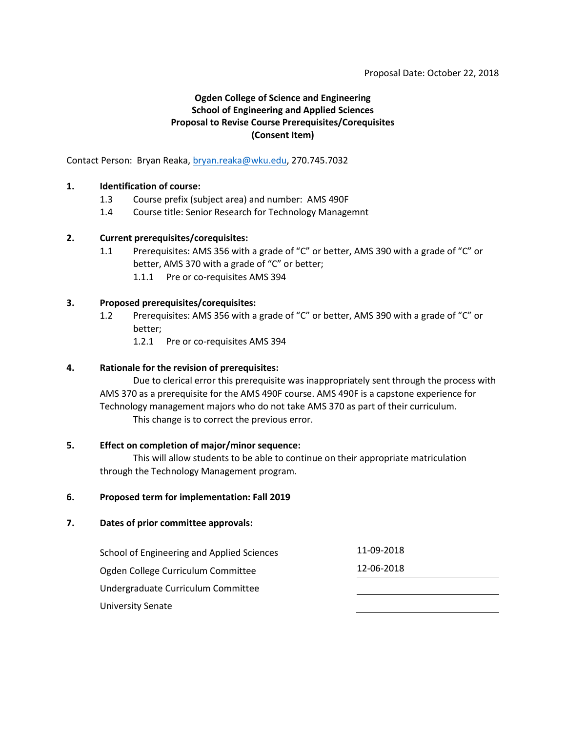# **Ogden College of Science and Engineering School of Engineering and Applied Sciences Proposal to Revise Course Prerequisites/Corequisites (Consent Item)**

Contact Person: Bryan Reaka[, bryan.reaka@wku.edu,](mailto:bryan.reaka@wku.edu) 270.745.7032

### **1. Identification of course:**

- 1.3 Course prefix (subject area) and number: AMS 490F
- 1.4 Course title: Senior Research for Technology Managemnt

### **2. Current prerequisites/corequisites:**

- 1.1 Prerequisites: AMS 356 with a grade of "C" or better, AMS 390 with a grade of "C" or better, AMS 370 with a grade of "C" or better;
	- 1.1.1 Pre or co-requisites AMS 394

### **3. Proposed prerequisites/corequisites:**

- 1.2 Prerequisites: AMS 356 with a grade of "C" or better, AMS 390 with a grade of "C" or better;
	- 1.2.1 Pre or co-requisites AMS 394

### **4. Rationale for the revision of prerequisites:**

Due to clerical error this prerequisite was inappropriately sent through the process with AMS 370 as a prerequisite for the AMS 490F course. AMS 490F is a capstone experience for Technology management majors who do not take AMS 370 as part of their curriculum. This change is to correct the previous error.

#### **5. Effect on completion of major/minor sequence:**

This will allow students to be able to continue on their appropriate matriculation through the Technology Management program.

#### **6. Proposed term for implementation: Fall 2019**

#### **7. Dates of prior committee approvals:**

School of Engineering and Applied Sciences 11-09-2018 Ogden College Curriculum Committee 12-06-2018 Undergraduate Curriculum Committee University Senate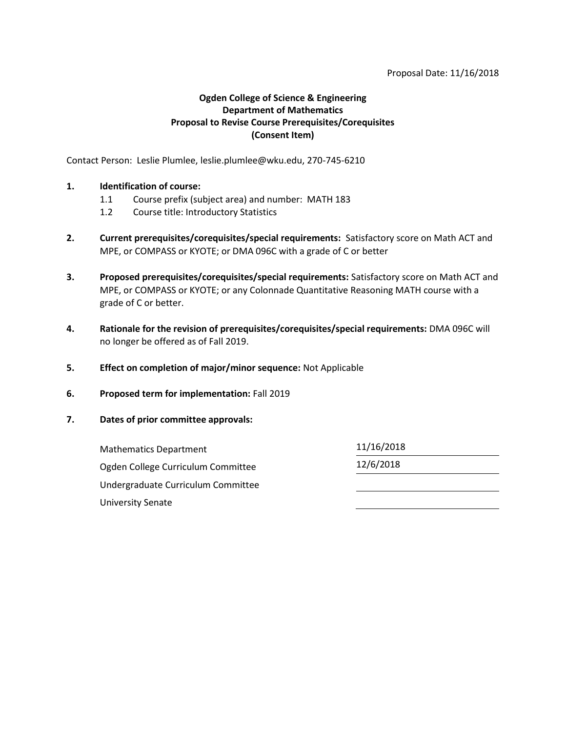### Proposal Date: 11/16/2018

# **Ogden College of Science & Engineering Department of Mathematics Proposal to Revise Course Prerequisites/Corequisites (Consent Item)**

Contact Person: Leslie Plumlee, leslie.plumlee@wku.edu, 270-745-6210

### **1. Identification of course:**

- 1.1 Course prefix (subject area) and number: MATH 183
- 1.2 Course title: Introductory Statistics
- **2. Current prerequisites/corequisites/special requirements:** Satisfactory score on Math ACT and MPE, or COMPASS or KYOTE; or DMA 096C with a grade of C or better
- **3. Proposed prerequisites/corequisites/special requirements:** Satisfactory score on Math ACT and MPE, or COMPASS or KYOTE; or any Colonnade Quantitative Reasoning MATH course with a grade of C or better.
- **4. Rationale for the revision of prerequisites/corequisites/special requirements:** DMA 096C will no longer be offered as of Fall 2019.
- **5. Effect on completion of major/minor sequence:** Not Applicable
- **6. Proposed term for implementation:** Fall 2019
- **7. Dates of prior committee approvals:**

| <b>Mathematics Department</b>      | 11/16/2018 |  |
|------------------------------------|------------|--|
| Ogden College Curriculum Committee | 12/6/2018  |  |
| Undergraduate Curriculum Committee |            |  |
| University Senate                  |            |  |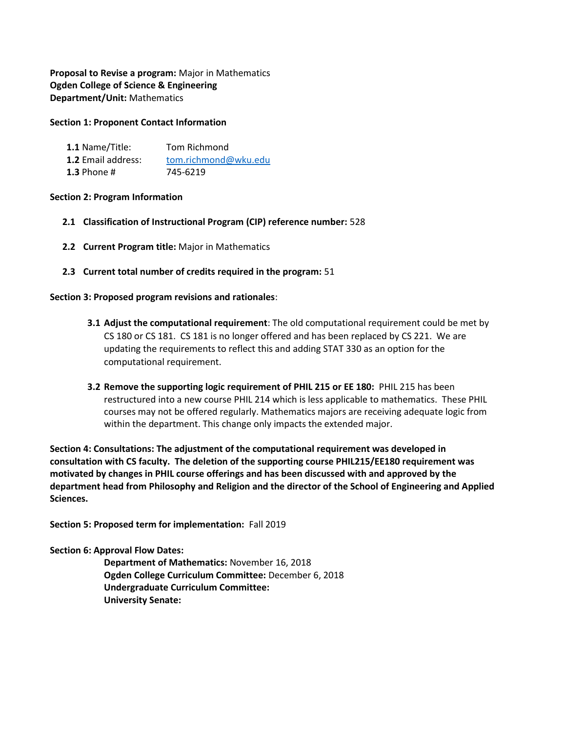**Proposal to Revise a program:** Major in Mathematics **Ogden College of Science & Engineering Department/Unit:** Mathematics

### **Section 1: Proponent Contact Information**

| 1.1 Name/Title:           | Tom Richmond         |
|---------------------------|----------------------|
| <b>1.2</b> Email address: | tom.richmond@wku.edu |
| 1.3 Phone $#$             | 745-6219             |

### **Section 2: Program Information**

- **2.1 Classification of Instructional Program (CIP) reference number:** 528
- **2.2 Current Program title:** Major in Mathematics
- **2.3 Current total number of credits required in the program:** 51

## **Section 3: Proposed program revisions and rationales**:

- **3.1 Adjust the computational requirement**: The old computational requirement could be met by CS 180 or CS 181. CS 181 is no longer offered and has been replaced by CS 221. We are updating the requirements to reflect this and adding STAT 330 as an option for the computational requirement.
- **3.2 Remove the supporting logic requirement of PHIL 215 or EE 180:** PHIL 215 has been restructured into a new course PHIL 214 which is less applicable to mathematics. These PHIL courses may not be offered regularly. Mathematics majors are receiving adequate logic from within the department. This change only impacts the extended major.

**Section 4: Consultations: The adjustment of the computational requirement was developed in consultation with CS faculty. The deletion of the supporting course PHIL215/EE180 requirement was motivated by changes in PHIL course offerings and has been discussed with and approved by the department head from Philosophy and Religion and the director of the School of Engineering and Applied Sciences.** 

**Section 5: Proposed term for implementation:** Fall 2019

#### **Section 6: Approval Flow Dates:**

**Department of Mathematics:** November 16, 2018 **Ogden College Curriculum Committee:** December 6, 2018 **Undergraduate Curriculum Committee: University Senate:**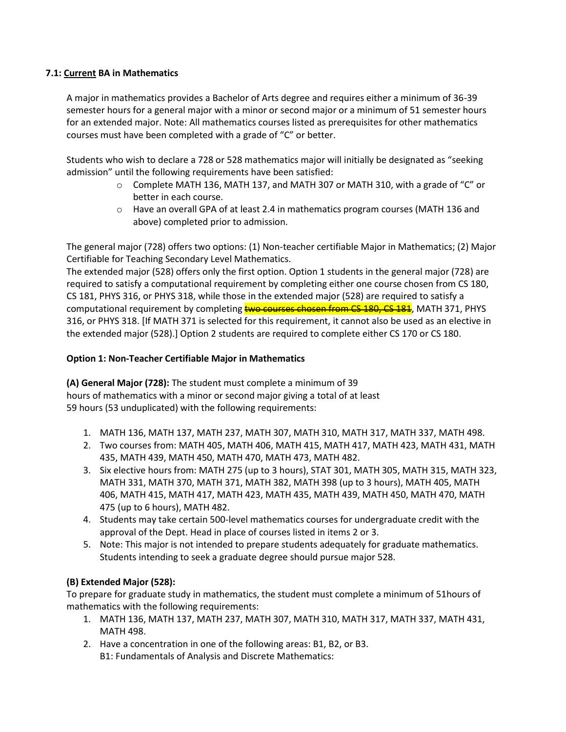# **7.1: Current BA in Mathematics**

A major in mathematics provides a Bachelor of Arts degree and requires either a minimum of 36-39 semester hours for a general major with a minor or second major or a minimum of 51 semester hours for an extended major. Note: All mathematics courses listed as prerequisites for other mathematics courses must have been completed with a grade of "C" or better.

Students who wish to declare a 728 or 528 mathematics major will initially be designated as "seeking admission" until the following requirements have been satisfied:

- $\circ$  Complete MATH 136, MATH 137, and MATH 307 or MATH 310, with a grade of "C" or better in each course.
- $\circ$  Have an overall GPA of at least 2.4 in mathematics program courses (MATH 136 and above) completed prior to admission.

The general major (728) offers two options: (1) Non-teacher certifiable Major in Mathematics; (2) Major Certifiable for Teaching Secondary Level Mathematics.

The extended major (528) offers only the first option. Option 1 students in the general major (728) are required to satisfy a computational requirement by completing either one course chosen from CS 180, CS 181, PHYS 316, or PHYS 318, while those in the extended major (528) are required to satisfy a computational requirement by completing two courses chosen from CS 180, CS 181, MATH 371, PHYS 316, or PHYS 318. [If MATH 371 is selected for this requirement, it cannot also be used as an elective in the extended major (528).] Option 2 students are required to complete either CS 170 or CS 180.

## **Option 1: Non-Teacher Certifiable Major in Mathematics**

**(A) General Major (728):** The student must complete a minimum of 39 hours of mathematics with a minor or second major giving a total of at least 59 hours (53 unduplicated) with the following requirements:

- 1. MATH 136, MATH 137, MATH 237, MATH 307, MATH 310, MATH 317, MATH 337, MATH 498.
- 2. Two courses from: MATH 405, MATH 406, MATH 415, MATH 417, MATH 423, MATH 431, MATH 435, MATH 439, MATH 450, MATH 470, MATH 473, MATH 482.
- 3. Six elective hours from: MATH 275 (up to 3 hours), STAT 301, MATH 305, MATH 315, MATH 323, MATH 331, MATH 370, MATH 371, MATH 382, MATH 398 (up to 3 hours), MATH 405, MATH 406, MATH 415, MATH 417, MATH 423, MATH 435, MATH 439, MATH 450, MATH 470, MATH 475 (up to 6 hours), MATH 482.
- 4. Students may take certain 500-level mathematics courses for undergraduate credit with the approval of the Dept. Head in place of courses listed in items 2 or 3.
- 5. Note: This major is not intended to prepare students adequately for graduate mathematics. Students intending to seek a graduate degree should pursue major 528.

# **(B) Extended Major (528):**

To prepare for graduate study in mathematics, the student must complete a minimum of 51hours of mathematics with the following requirements:

- 1. MATH 136, MATH 137, MATH 237, MATH 307, MATH 310, MATH 317, MATH 337, MATH 431, MATH 498.
- 2. Have a concentration in one of the following areas: B1, B2, or B3. B1: Fundamentals of Analysis and Discrete Mathematics: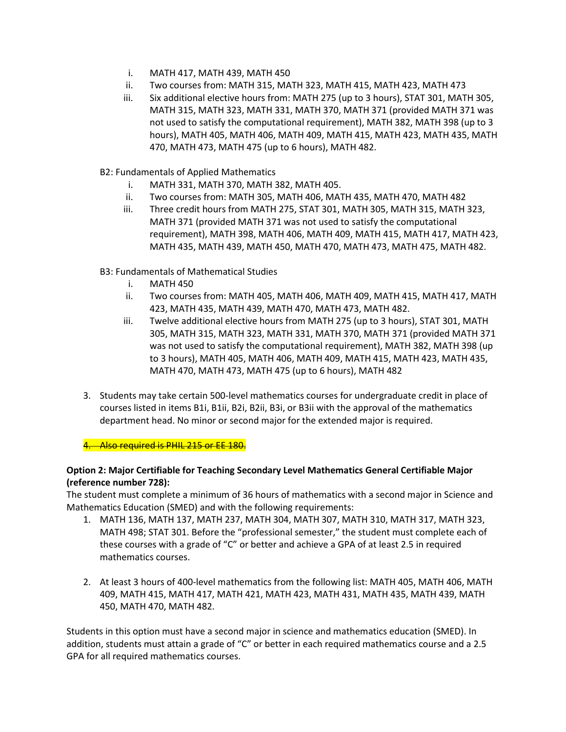- i. MATH 417, MATH 439, MATH 450
- ii. Two courses from: MATH 315, MATH 323, MATH 415, MATH 423, MATH 473
- iii. Six additional elective hours from: MATH 275 (up to 3 hours), STAT 301, MATH 305, MATH 315, MATH 323, MATH 331, MATH 370, MATH 371 (provided MATH 371 was not used to satisfy the computational requirement), MATH 382, MATH 398 (up to 3 hours), MATH 405, MATH 406, MATH 409, MATH 415, MATH 423, MATH 435, MATH 470, MATH 473, MATH 475 (up to 6 hours), MATH 482.
- B2: Fundamentals of Applied Mathematics
	- i. MATH 331, MATH 370, MATH 382, MATH 405.
	- ii. Two courses from: MATH 305, MATH 406, MATH 435, MATH 470, MATH 482
	- iii. Three credit hours from MATH 275, STAT 301, MATH 305, MATH 315, MATH 323, MATH 371 (provided MATH 371 was not used to satisfy the computational requirement), MATH 398, MATH 406, MATH 409, MATH 415, MATH 417, MATH 423, MATH 435, MATH 439, MATH 450, MATH 470, MATH 473, MATH 475, MATH 482.
- B3: Fundamentals of Mathematical Studies
	- i. MATH 450
	- ii. Two courses from: MATH 405, MATH 406, MATH 409, MATH 415, MATH 417, MATH 423, MATH 435, MATH 439, MATH 470, MATH 473, MATH 482.
	- iii. Twelve additional elective hours from MATH 275 (up to 3 hours), STAT 301, MATH 305, MATH 315, MATH 323, MATH 331, MATH 370, MATH 371 (provided MATH 371 was not used to satisfy the computational requirement), MATH 382, MATH 398 (up to 3 hours), MATH 405, MATH 406, MATH 409, MATH 415, MATH 423, MATH 435, MATH 470, MATH 473, MATH 475 (up to 6 hours), MATH 482
- 3. Students may take certain 500-level mathematics courses for undergraduate credit in place of courses listed in items B1i, B1ii, B2i, B2ii, B3i, or B3ii with the approval of the mathematics department head. No minor or second major for the extended major is required.

4. Also required is PHIL 215 or EE 180.

# **Option 2: Major Certifiable for Teaching Secondary Level Mathematics General Certifiable Major (reference number 728):**

The student must complete a minimum of 36 hours of mathematics with a second major in Science and Mathematics Education (SMED) and with the following requirements:

- 1. MATH 136, MATH 137, MATH 237, MATH 304, MATH 307, MATH 310, MATH 317, MATH 323, MATH 498; STAT 301. Before the "professional semester," the student must complete each of these courses with a grade of "C" or better and achieve a GPA of at least 2.5 in required mathematics courses.
- 2. At least 3 hours of 400-level mathematics from the following list: MATH 405, MATH 406, MATH 409, MATH 415, MATH 417, MATH 421, MATH 423, MATH 431, MATH 435, MATH 439, MATH 450, MATH 470, MATH 482.

Students in this option must have a second major in science and mathematics education (SMED). In addition, students must attain a grade of "C" or better in each required mathematics course and a 2.5 GPA for all required mathematics courses.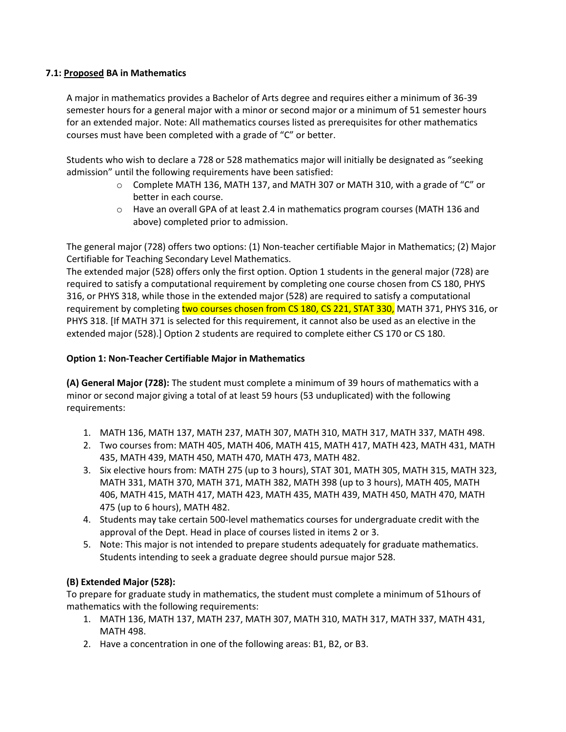# **7.1: Proposed BA in Mathematics**

A major in mathematics provides a Bachelor of Arts degree and requires either a minimum of 36-39 semester hours for a general major with a minor or second major or a minimum of 51 semester hours for an extended major. Note: All mathematics courses listed as prerequisites for other mathematics courses must have been completed with a grade of "C" or better.

Students who wish to declare a 728 or 528 mathematics major will initially be designated as "seeking admission" until the following requirements have been satisfied:

- $\circ$  Complete MATH 136, MATH 137, and MATH 307 or MATH 310, with a grade of "C" or better in each course.
- $\circ$  Have an overall GPA of at least 2.4 in mathematics program courses (MATH 136 and above) completed prior to admission.

The general major (728) offers two options: (1) Non-teacher certifiable Major in Mathematics; (2) Major Certifiable for Teaching Secondary Level Mathematics.

The extended major (528) offers only the first option. Option 1 students in the general major (728) are required to satisfy a computational requirement by completing one course chosen from CS 180, PHYS 316, or PHYS 318, while those in the extended major (528) are required to satisfy a computational requirement by completing two courses chosen from CS 180, CS 221, STAT 330, MATH 371, PHYS 316, or PHYS 318. [If MATH 371 is selected for this requirement, it cannot also be used as an elective in the extended major (528).] Option 2 students are required to complete either CS 170 or CS 180.

## **Option 1: Non-Teacher Certifiable Major in Mathematics**

**(A) General Major (728):** The student must complete a minimum of 39 hours of mathematics with a minor or second major giving a total of at least 59 hours (53 unduplicated) with the following requirements:

- 1. MATH 136, MATH 137, MATH 237, MATH 307, MATH 310, MATH 317, MATH 337, MATH 498.
- 2. Two courses from: MATH 405, MATH 406, MATH 415, MATH 417, MATH 423, MATH 431, MATH 435, MATH 439, MATH 450, MATH 470, MATH 473, MATH 482.
- 3. Six elective hours from: MATH 275 (up to 3 hours), STAT 301, MATH 305, MATH 315, MATH 323, MATH 331, MATH 370, MATH 371, MATH 382, MATH 398 (up to 3 hours), MATH 405, MATH 406, MATH 415, MATH 417, MATH 423, MATH 435, MATH 439, MATH 450, MATH 470, MATH 475 (up to 6 hours), MATH 482.
- 4. Students may take certain 500-level mathematics courses for undergraduate credit with the approval of the Dept. Head in place of courses listed in items 2 or 3.
- 5. Note: This major is not intended to prepare students adequately for graduate mathematics. Students intending to seek a graduate degree should pursue major 528.

# **(B) Extended Major (528):**

To prepare for graduate study in mathematics, the student must complete a minimum of 51hours of mathematics with the following requirements:

- 1. MATH 136, MATH 137, MATH 237, MATH 307, MATH 310, MATH 317, MATH 337, MATH 431, MATH 498.
- 2. Have a concentration in one of the following areas: B1, B2, or B3.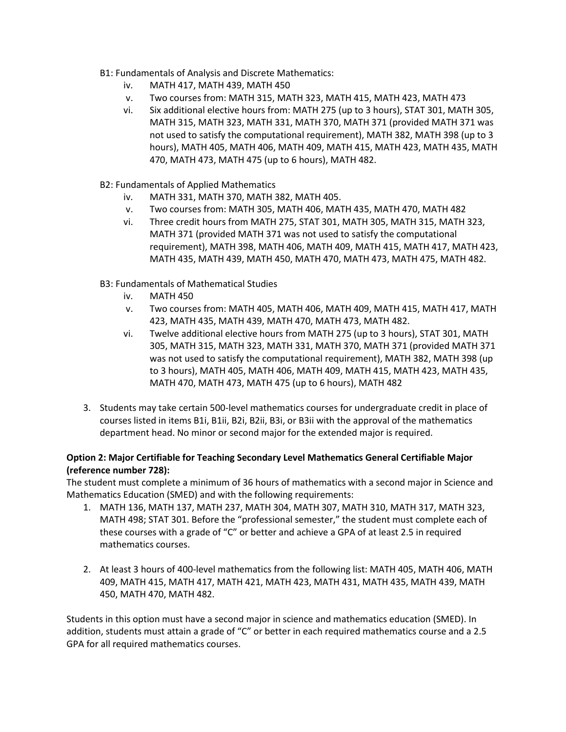- B1: Fundamentals of Analysis and Discrete Mathematics:
	- iv. MATH 417, MATH 439, MATH 450
	- v. Two courses from: MATH 315, MATH 323, MATH 415, MATH 423, MATH 473
	- vi. Six additional elective hours from: MATH 275 (up to 3 hours), STAT 301, MATH 305, MATH 315, MATH 323, MATH 331, MATH 370, MATH 371 (provided MATH 371 was not used to satisfy the computational requirement), MATH 382, MATH 398 (up to 3 hours), MATH 405, MATH 406, MATH 409, MATH 415, MATH 423, MATH 435, MATH 470, MATH 473, MATH 475 (up to 6 hours), MATH 482.
- B2: Fundamentals of Applied Mathematics
	- iv. MATH 331, MATH 370, MATH 382, MATH 405.
	- v. Two courses from: MATH 305, MATH 406, MATH 435, MATH 470, MATH 482
	- vi. Three credit hours from MATH 275, STAT 301, MATH 305, MATH 315, MATH 323, MATH 371 (provided MATH 371 was not used to satisfy the computational requirement), MATH 398, MATH 406, MATH 409, MATH 415, MATH 417, MATH 423, MATH 435, MATH 439, MATH 450, MATH 470, MATH 473, MATH 475, MATH 482.
- B3: Fundamentals of Mathematical Studies
	- iv. MATH 450
	- v. Two courses from: MATH 405, MATH 406, MATH 409, MATH 415, MATH 417, MATH 423, MATH 435, MATH 439, MATH 470, MATH 473, MATH 482.
	- vi. Twelve additional elective hours from MATH 275 (up to 3 hours), STAT 301, MATH 305, MATH 315, MATH 323, MATH 331, MATH 370, MATH 371 (provided MATH 371 was not used to satisfy the computational requirement), MATH 382, MATH 398 (up to 3 hours), MATH 405, MATH 406, MATH 409, MATH 415, MATH 423, MATH 435, MATH 470, MATH 473, MATH 475 (up to 6 hours), MATH 482
- 3. Students may take certain 500-level mathematics courses for undergraduate credit in place of courses listed in items B1i, B1ii, B2i, B2ii, B3i, or B3ii with the approval of the mathematics department head. No minor or second major for the extended major is required.

## **Option 2: Major Certifiable for Teaching Secondary Level Mathematics General Certifiable Major (reference number 728):**

The student must complete a minimum of 36 hours of mathematics with a second major in Science and Mathematics Education (SMED) and with the following requirements:

- 1. MATH 136, MATH 137, MATH 237, MATH 304, MATH 307, MATH 310, MATH 317, MATH 323, MATH 498; STAT 301. Before the "professional semester," the student must complete each of these courses with a grade of "C" or better and achieve a GPA of at least 2.5 in required mathematics courses.
- 2. At least 3 hours of 400-level mathematics from the following list: MATH 405, MATH 406, MATH 409, MATH 415, MATH 417, MATH 421, MATH 423, MATH 431, MATH 435, MATH 439, MATH 450, MATH 470, MATH 482.

Students in this option must have a second major in science and mathematics education (SMED). In addition, students must attain a grade of "C" or better in each required mathematics course and a 2.5 GPA for all required mathematics courses.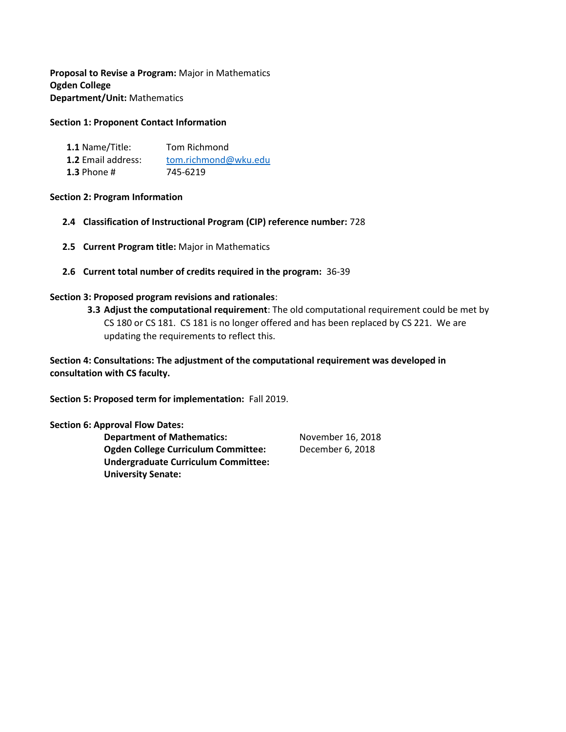**Proposal to Revise a Program:** Major in Mathematics **Ogden College Department/Unit:** Mathematics

### **Section 1: Proponent Contact Information**

| 1.1 Name/Title:           | Tom Richmond         |
|---------------------------|----------------------|
| <b>1.2</b> Email address: | tom.richmond@wku.edu |
| 1.3 Phone $#$             | 745-6219             |

### **Section 2: Program Information**

- **2.4 Classification of Instructional Program (CIP) reference number:** 728
- **2.5 Current Program title:** Major in Mathematics
- **2.6 Current total number of credits required in the program:** 36-39

### **Section 3: Proposed program revisions and rationales**:

**3.3 Adjust the computational requirement**: The old computational requirement could be met by CS 180 or CS 181. CS 181 is no longer offered and has been replaced by CS 221. We are updating the requirements to reflect this.

**Section 4: Consultations: The adjustment of the computational requirement was developed in consultation with CS faculty.** 

**Section 5: Proposed term for implementation:** Fall 2019.

#### **Section 6: Approval Flow Dates:**

**Department of Mathematics:** November 16, 2018 **Ogden College Curriculum Committee:** December 6, 2018 **Undergraduate Curriculum Committee: University Senate:**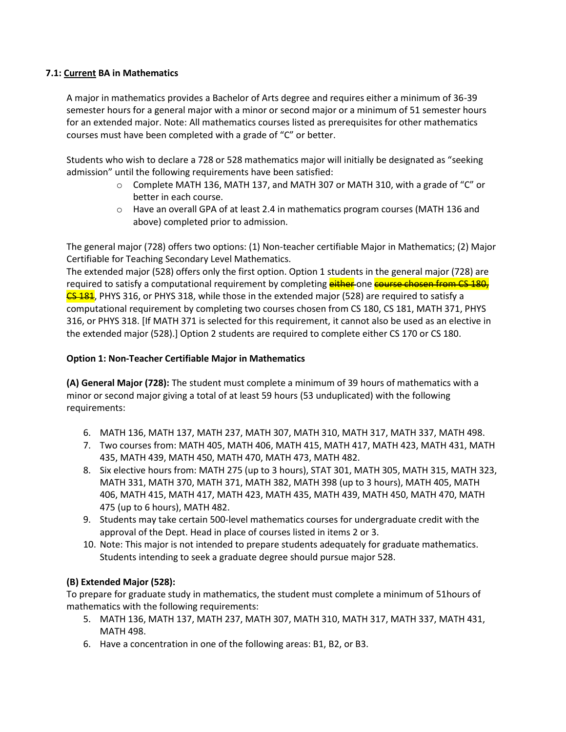## **7.1: Current BA in Mathematics**

A major in mathematics provides a Bachelor of Arts degree and requires either a minimum of 36-39 semester hours for a general major with a minor or second major or a minimum of 51 semester hours for an extended major. Note: All mathematics courses listed as prerequisites for other mathematics courses must have been completed with a grade of "C" or better.

Students who wish to declare a 728 or 528 mathematics major will initially be designated as "seeking admission" until the following requirements have been satisfied:

- $\circ$  Complete MATH 136, MATH 137, and MATH 307 or MATH 310, with a grade of "C" or better in each course.
- $\circ$  Have an overall GPA of at least 2.4 in mathematics program courses (MATH 136 and above) completed prior to admission.

The general major (728) offers two options: (1) Non-teacher certifiable Major in Mathematics; (2) Major Certifiable for Teaching Secondary Level Mathematics.

The extended major (528) offers only the first option. Option 1 students in the general major (728) are required to satisfy a computational requirement by completing either one course chosen from CS 180, **CS 181**, PHYS 316, or PHYS 318, while those in the extended major (528) are required to satisfy a computational requirement by completing two courses chosen from CS 180, CS 181, MATH 371, PHYS 316, or PHYS 318. [If MATH 371 is selected for this requirement, it cannot also be used as an elective in the extended major (528).] Option 2 students are required to complete either CS 170 or CS 180.

## **Option 1: Non-Teacher Certifiable Major in Mathematics**

**(A) General Major (728):** The student must complete a minimum of 39 hours of mathematics with a minor or second major giving a total of at least 59 hours (53 unduplicated) with the following requirements:

- 6. MATH 136, MATH 137, MATH 237, MATH 307, MATH 310, MATH 317, MATH 337, MATH 498.
- 7. Two courses from: MATH 405, MATH 406, MATH 415, MATH 417, MATH 423, MATH 431, MATH 435, MATH 439, MATH 450, MATH 470, MATH 473, MATH 482.
- 8. Six elective hours from: MATH 275 (up to 3 hours), STAT 301, MATH 305, MATH 315, MATH 323, MATH 331, MATH 370, MATH 371, MATH 382, MATH 398 (up to 3 hours), MATH 405, MATH 406, MATH 415, MATH 417, MATH 423, MATH 435, MATH 439, MATH 450, MATH 470, MATH 475 (up to 6 hours), MATH 482.
- 9. Students may take certain 500-level mathematics courses for undergraduate credit with the approval of the Dept. Head in place of courses listed in items 2 or 3.
- 10. Note: This major is not intended to prepare students adequately for graduate mathematics. Students intending to seek a graduate degree should pursue major 528.

# **(B) Extended Major (528):**

To prepare for graduate study in mathematics, the student must complete a minimum of 51hours of mathematics with the following requirements:

- 5. MATH 136, MATH 137, MATH 237, MATH 307, MATH 310, MATH 317, MATH 337, MATH 431, MATH 498.
- 6. Have a concentration in one of the following areas: B1, B2, or B3.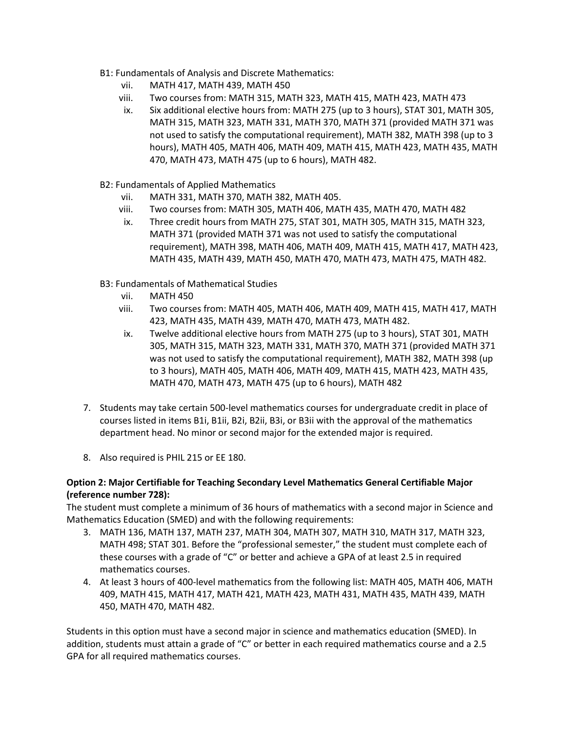- B1: Fundamentals of Analysis and Discrete Mathematics:
	- vii. MATH 417, MATH 439, MATH 450
	- viii. Two courses from: MATH 315, MATH 323, MATH 415, MATH 423, MATH 473
	- ix. Six additional elective hours from: MATH 275 (up to 3 hours), STAT 301, MATH 305, MATH 315, MATH 323, MATH 331, MATH 370, MATH 371 (provided MATH 371 was not used to satisfy the computational requirement), MATH 382, MATH 398 (up to 3 hours), MATH 405, MATH 406, MATH 409, MATH 415, MATH 423, MATH 435, MATH 470, MATH 473, MATH 475 (up to 6 hours), MATH 482.
- B2: Fundamentals of Applied Mathematics
	- vii. MATH 331, MATH 370, MATH 382, MATH 405.
	- viii. Two courses from: MATH 305, MATH 406, MATH 435, MATH 470, MATH 482
	- ix. Three credit hours from MATH 275, STAT 301, MATH 305, MATH 315, MATH 323, MATH 371 (provided MATH 371 was not used to satisfy the computational requirement), MATH 398, MATH 406, MATH 409, MATH 415, MATH 417, MATH 423, MATH 435, MATH 439, MATH 450, MATH 470, MATH 473, MATH 475, MATH 482.
- B3: Fundamentals of Mathematical Studies
	- vii. MATH 450
	- viii. Two courses from: MATH 405, MATH 406, MATH 409, MATH 415, MATH 417, MATH 423, MATH 435, MATH 439, MATH 470, MATH 473, MATH 482.
	- ix. Twelve additional elective hours from MATH 275 (up to 3 hours), STAT 301, MATH 305, MATH 315, MATH 323, MATH 331, MATH 370, MATH 371 (provided MATH 371 was not used to satisfy the computational requirement), MATH 382, MATH 398 (up to 3 hours), MATH 405, MATH 406, MATH 409, MATH 415, MATH 423, MATH 435, MATH 470, MATH 473, MATH 475 (up to 6 hours), MATH 482
- 7. Students may take certain 500-level mathematics courses for undergraduate credit in place of courses listed in items B1i, B1ii, B2i, B2ii, B3i, or B3ii with the approval of the mathematics department head. No minor or second major for the extended major is required.
- 8. Also required is PHIL 215 or EE 180.

## **Option 2: Major Certifiable for Teaching Secondary Level Mathematics General Certifiable Major (reference number 728):**

The student must complete a minimum of 36 hours of mathematics with a second major in Science and Mathematics Education (SMED) and with the following requirements:

- 3. MATH 136, MATH 137, MATH 237, MATH 304, MATH 307, MATH 310, MATH 317, MATH 323, MATH 498; STAT 301. Before the "professional semester," the student must complete each of these courses with a grade of "C" or better and achieve a GPA of at least 2.5 in required mathematics courses.
- 4. At least 3 hours of 400-level mathematics from the following list: MATH 405, MATH 406, MATH 409, MATH 415, MATH 417, MATH 421, MATH 423, MATH 431, MATH 435, MATH 439, MATH 450, MATH 470, MATH 482.

Students in this option must have a second major in science and mathematics education (SMED). In addition, students must attain a grade of "C" or better in each required mathematics course and a 2.5 GPA for all required mathematics courses.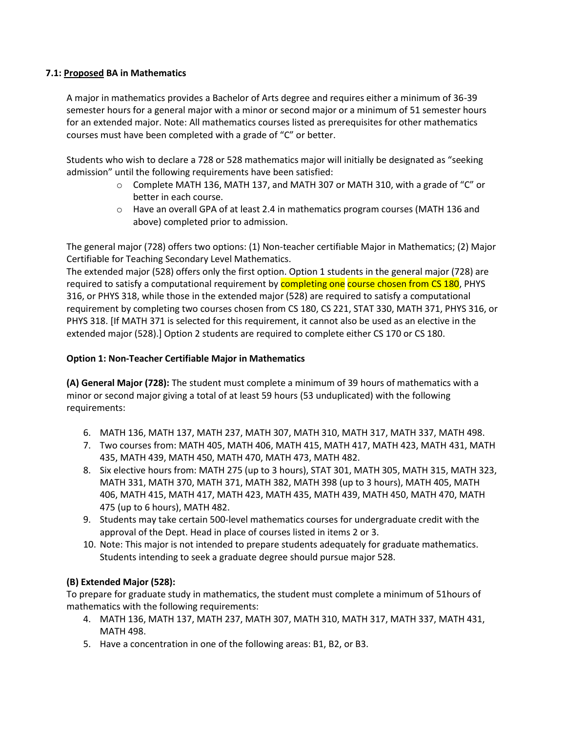## **7.1: Proposed BA in Mathematics**

A major in mathematics provides a Bachelor of Arts degree and requires either a minimum of 36-39 semester hours for a general major with a minor or second major or a minimum of 51 semester hours for an extended major. Note: All mathematics courses listed as prerequisites for other mathematics courses must have been completed with a grade of "C" or better.

Students who wish to declare a 728 or 528 mathematics major will initially be designated as "seeking admission" until the following requirements have been satisfied:

- $\circ$  Complete MATH 136, MATH 137, and MATH 307 or MATH 310, with a grade of "C" or better in each course.
- $\circ$  Have an overall GPA of at least 2.4 in mathematics program courses (MATH 136 and above) completed prior to admission.

The general major (728) offers two options: (1) Non-teacher certifiable Major in Mathematics; (2) Major Certifiable for Teaching Secondary Level Mathematics.

The extended major (528) offers only the first option. Option 1 students in the general major (728) are required to satisfy a computational requirement by **completing one course chosen from CS 180**, PHYS 316, or PHYS 318, while those in the extended major (528) are required to satisfy a computational requirement by completing two courses chosen from CS 180, CS 221, STAT 330, MATH 371, PHYS 316, or PHYS 318. [If MATH 371 is selected for this requirement, it cannot also be used as an elective in the extended major (528).] Option 2 students are required to complete either CS 170 or CS 180.

## **Option 1: Non-Teacher Certifiable Major in Mathematics**

**(A) General Major (728):** The student must complete a minimum of 39 hours of mathematics with a minor or second major giving a total of at least 59 hours (53 unduplicated) with the following requirements:

- 6. MATH 136, MATH 137, MATH 237, MATH 307, MATH 310, MATH 317, MATH 337, MATH 498.
- 7. Two courses from: MATH 405, MATH 406, MATH 415, MATH 417, MATH 423, MATH 431, MATH 435, MATH 439, MATH 450, MATH 470, MATH 473, MATH 482.
- 8. Six elective hours from: MATH 275 (up to 3 hours), STAT 301, MATH 305, MATH 315, MATH 323, MATH 331, MATH 370, MATH 371, MATH 382, MATH 398 (up to 3 hours), MATH 405, MATH 406, MATH 415, MATH 417, MATH 423, MATH 435, MATH 439, MATH 450, MATH 470, MATH 475 (up to 6 hours), MATH 482.
- 9. Students may take certain 500-level mathematics courses for undergraduate credit with the approval of the Dept. Head in place of courses listed in items 2 or 3.
- 10. Note: This major is not intended to prepare students adequately for graduate mathematics. Students intending to seek a graduate degree should pursue major 528.

# **(B) Extended Major (528):**

To prepare for graduate study in mathematics, the student must complete a minimum of 51hours of mathematics with the following requirements:

- 4. MATH 136, MATH 137, MATH 237, MATH 307, MATH 310, MATH 317, MATH 337, MATH 431, MATH 498.
- 5. Have a concentration in one of the following areas: B1, B2, or B3.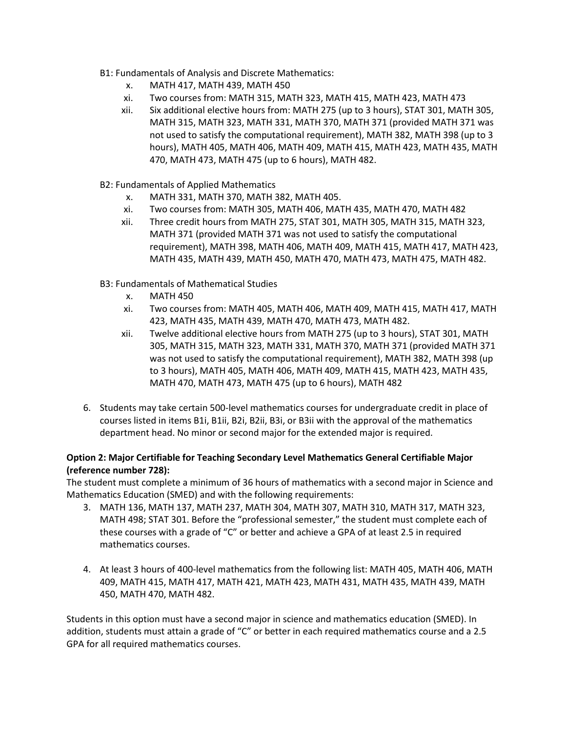- B1: Fundamentals of Analysis and Discrete Mathematics:
	- x. MATH 417, MATH 439, MATH 450
	- xi. Two courses from: MATH 315, MATH 323, MATH 415, MATH 423, MATH 473
	- xii. Six additional elective hours from: MATH 275 (up to 3 hours), STAT 301, MATH 305, MATH 315, MATH 323, MATH 331, MATH 370, MATH 371 (provided MATH 371 was not used to satisfy the computational requirement), MATH 382, MATH 398 (up to 3 hours), MATH 405, MATH 406, MATH 409, MATH 415, MATH 423, MATH 435, MATH 470, MATH 473, MATH 475 (up to 6 hours), MATH 482.
- B2: Fundamentals of Applied Mathematics
	- x. MATH 331, MATH 370, MATH 382, MATH 405.
	- xi. Two courses from: MATH 305, MATH 406, MATH 435, MATH 470, MATH 482
	- xii. Three credit hours from MATH 275, STAT 301, MATH 305, MATH 315, MATH 323, MATH 371 (provided MATH 371 was not used to satisfy the computational requirement), MATH 398, MATH 406, MATH 409, MATH 415, MATH 417, MATH 423, MATH 435, MATH 439, MATH 450, MATH 470, MATH 473, MATH 475, MATH 482.
- B3: Fundamentals of Mathematical Studies
	- x. MATH 450
	- xi. Two courses from: MATH 405, MATH 406, MATH 409, MATH 415, MATH 417, MATH 423, MATH 435, MATH 439, MATH 470, MATH 473, MATH 482.
	- xii. Twelve additional elective hours from MATH 275 (up to 3 hours), STAT 301, MATH 305, MATH 315, MATH 323, MATH 331, MATH 370, MATH 371 (provided MATH 371 was not used to satisfy the computational requirement), MATH 382, MATH 398 (up to 3 hours), MATH 405, MATH 406, MATH 409, MATH 415, MATH 423, MATH 435, MATH 470, MATH 473, MATH 475 (up to 6 hours), MATH 482
- 6. Students may take certain 500-level mathematics courses for undergraduate credit in place of courses listed in items B1i, B1ii, B2i, B2ii, B3i, or B3ii with the approval of the mathematics department head. No minor or second major for the extended major is required.

## **Option 2: Major Certifiable for Teaching Secondary Level Mathematics General Certifiable Major (reference number 728):**

The student must complete a minimum of 36 hours of mathematics with a second major in Science and Mathematics Education (SMED) and with the following requirements:

- 3. MATH 136, MATH 137, MATH 237, MATH 304, MATH 307, MATH 310, MATH 317, MATH 323, MATH 498; STAT 301. Before the "professional semester," the student must complete each of these courses with a grade of "C" or better and achieve a GPA of at least 2.5 in required mathematics courses.
- 4. At least 3 hours of 400-level mathematics from the following list: MATH 405, MATH 406, MATH 409, MATH 415, MATH 417, MATH 421, MATH 423, MATH 431, MATH 435, MATH 439, MATH 450, MATH 470, MATH 482.

Students in this option must have a second major in science and mathematics education (SMED). In addition, students must attain a grade of "C" or better in each required mathematics course and a 2.5 GPA for all required mathematics courses.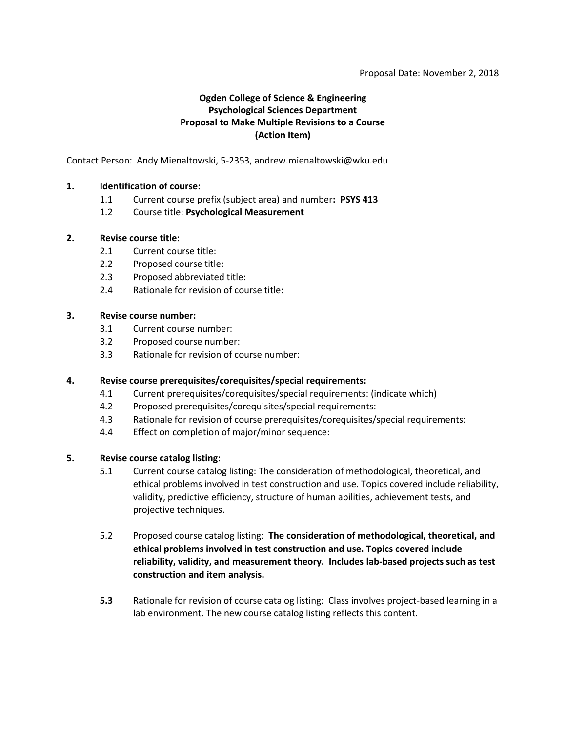### Proposal Date: November 2, 2018

# **Ogden College of Science & Engineering Psychological Sciences Department Proposal to Make Multiple Revisions to a Course (Action Item)**

Contact Person: Andy Mienaltowski, 5-2353, andrew.mienaltowski@wku.edu

### **1. Identification of course:**

- 1.1 Current course prefix (subject area) and number**: PSYS 413**
- 1.2 Course title: **Psychological Measurement**

### **2. Revise course title:**

- 2.1 Current course title:
- 2.2 Proposed course title:
- 2.3 Proposed abbreviated title:
- 2.4 Rationale for revision of course title:

### **3. Revise course number:**

- 3.1 Current course number:
- 3.2 Proposed course number:
- 3.3 Rationale for revision of course number:

#### **4. Revise course prerequisites/corequisites/special requirements:**

- 4.1 Current prerequisites/corequisites/special requirements: (indicate which)
- 4.2 Proposed prerequisites/corequisites/special requirements:
- 4.3 Rationale for revision of course prerequisites/corequisites/special requirements:
- 4.4 Effect on completion of major/minor sequence:

#### **5. Revise course catalog listing:**

- 5.1 Current course catalog listing: The consideration of methodological, theoretical, and ethical problems involved in test construction and use. Topics covered include reliability, validity, predictive efficiency, structure of human abilities, achievement tests, and projective techniques.
- 5.2 Proposed course catalog listing: **The consideration of methodological, theoretical, and ethical problems involved in test construction and use. Topics covered include reliability, validity, and measurement theory. Includes lab-based projects such as test construction and item analysis.**
- **5.3** Rationale for revision of course catalog listing: Class involves project-based learning in a lab environment. The new course catalog listing reflects this content.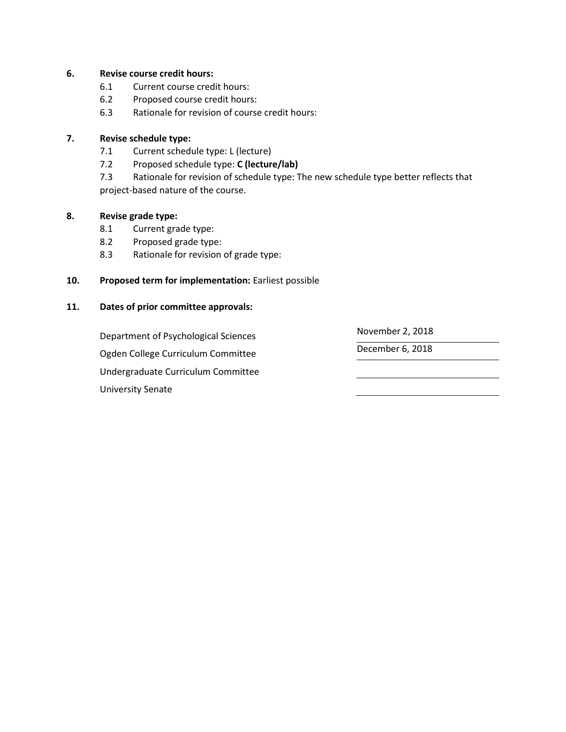## **6. Revise course credit hours:**

- 6.1 Current course credit hours:
- 6.2 Proposed course credit hours:
- 6.3 Rationale for revision of course credit hours:

## **7. Revise schedule type:**

- 7.1 Current schedule type: L (lecture)
- 7.2 Proposed schedule type: **C (lecture/lab)**

7.3 Rationale for revision of schedule type: The new schedule type better reflects that project-based nature of the course.

## **8. Revise grade type:**

- 8.1 Current grade type:
- 8.2 Proposed grade type:
- 8.3 Rationale for revision of grade type:

## **10. Proposed term for implementation:** Earliest possible

## **11. Dates of prior committee approvals:**

Department of Psychological Sciences November 2, 2018 Ogden College Curriculum Committee December 6, 2018 Undergraduate Curriculum Committee University Senate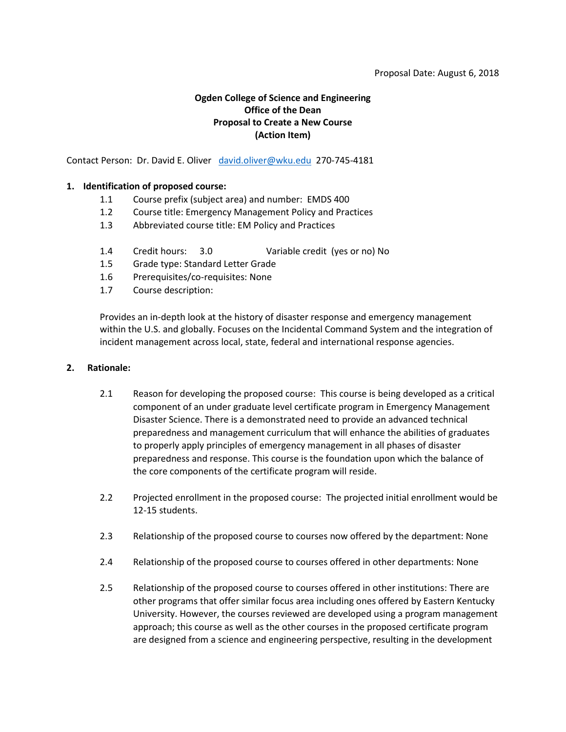#### Proposal Date: August 6, 2018

# **Ogden College of Science and Engineering Office of the Dean Proposal to Create a New Course (Action Item)**

Contact Person: Dr. David E. Oliver [david.oliver@wku.edu](mailto:david.oliver@wku.edu) 270-745-4181

### **1. Identification of proposed course:**

- 1.1 Course prefix (subject area) and number: EMDS 400
- 1.2 Course title: Emergency Management Policy and Practices
- 1.3 Abbreviated course title: EM Policy and Practices
- 1.4 Credit hours: 3.0 Variable credit (yes or no) No
- 1.5 Grade type: Standard Letter Grade
- 1.6 Prerequisites/co-requisites: None
- 1.7 Course description:

Provides an in-depth look at the history of disaster response and emergency management within the U.S. and globally. Focuses on the Incidental Command System and the integration of incident management across local, state, federal and international response agencies.

#### **2. Rationale:**

- 2.1 Reason for developing the proposed course: This course is being developed as a critical component of an under graduate level certificate program in Emergency Management Disaster Science. There is a demonstrated need to provide an advanced technical preparedness and management curriculum that will enhance the abilities of graduates to properly apply principles of emergency management in all phases of disaster preparedness and response. This course is the foundation upon which the balance of the core components of the certificate program will reside.
- 2.2 Projected enrollment in the proposed course: The projected initial enrollment would be 12-15 students.
- 2.3 Relationship of the proposed course to courses now offered by the department: None
- 2.4 Relationship of the proposed course to courses offered in other departments: None
- 2.5 Relationship of the proposed course to courses offered in other institutions: There are other programs that offer similar focus area including ones offered by Eastern Kentucky University. However, the courses reviewed are developed using a program management approach; this course as well as the other courses in the proposed certificate program are designed from a science and engineering perspective, resulting in the development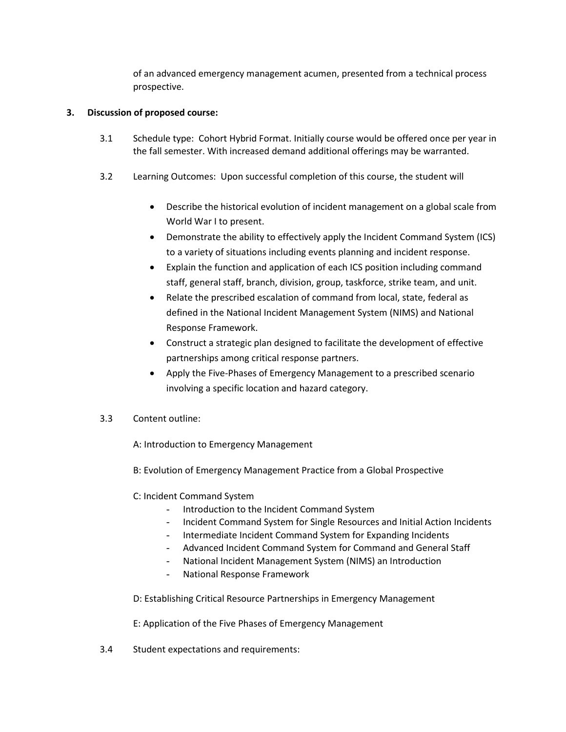of an advanced emergency management acumen, presented from a technical process prospective.

## **3. Discussion of proposed course:**

- 3.1 Schedule type: Cohort Hybrid Format. Initially course would be offered once per year in the fall semester. With increased demand additional offerings may be warranted.
- 3.2 Learning Outcomes: Upon successful completion of this course, the student will
	- Describe the historical evolution of incident management on a global scale from World War I to present.
	- Demonstrate the ability to effectively apply the Incident Command System (ICS) to a variety of situations including events planning and incident response.
	- Explain the function and application of each ICS position including command staff, general staff, branch, division, group, taskforce, strike team, and unit.
	- Relate the prescribed escalation of command from local, state, federal as defined in the National Incident Management System (NIMS) and National Response Framework.
	- Construct a strategic plan designed to facilitate the development of effective partnerships among critical response partners.
	- Apply the Five-Phases of Emergency Management to a prescribed scenario involving a specific location and hazard category.

## 3.3 Content outline:

A: Introduction to Emergency Management

B: Evolution of Emergency Management Practice from a Global Prospective

# C: Incident Command System

- Introduction to the Incident Command System
- Incident Command System for Single Resources and Initial Action Incidents
- Intermediate Incident Command System for Expanding Incidents
- Advanced Incident Command System for Command and General Staff
- National Incident Management System (NIMS) an Introduction
- National Response Framework
- D: Establishing Critical Resource Partnerships in Emergency Management

E: Application of the Five Phases of Emergency Management

3.4 Student expectations and requirements: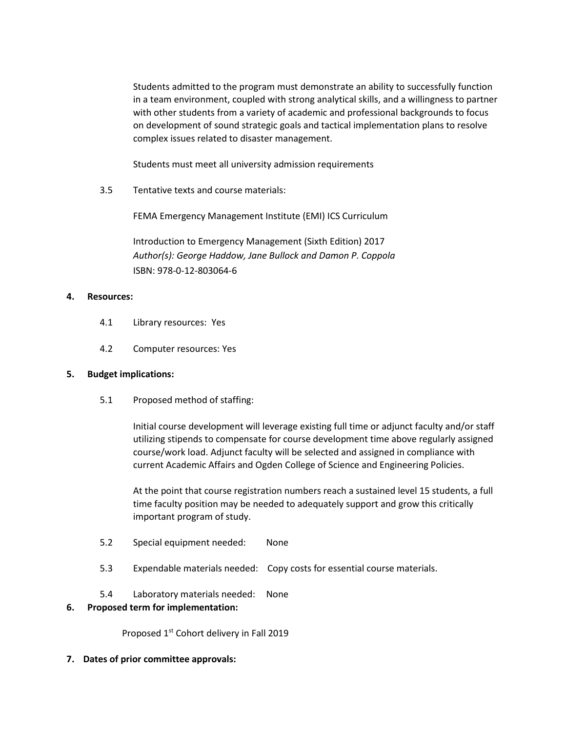Students admitted to the program must demonstrate an ability to successfully function in a team environment, coupled with strong analytical skills, and a willingness to partner with other students from a variety of academic and professional backgrounds to focus on development of sound strategic goals and tactical implementation plans to resolve complex issues related to disaster management.

Students must meet all university admission requirements

3.5 Tentative texts and course materials:

FEMA Emergency Management Institute (EMI) ICS Curriculum

Introduction to Emergency Management (Sixth Edition) 2017 *Author(s): George Haddow, Jane Bullock and Damon P. Coppola* ISBN: 978-0-12-803064-6

## **4. Resources:**

- 4.1 Library resources: Yes
- 4.2 Computer resources: Yes

#### **5. Budget implications:**

5.1 Proposed method of staffing:

Initial course development will leverage existing full time or adjunct faculty and/or staff utilizing stipends to compensate for course development time above regularly assigned course/work load. Adjunct faculty will be selected and assigned in compliance with current Academic Affairs and Ogden College of Science and Engineering Policies.

At the point that course registration numbers reach a sustained level 15 students, a full time faculty position may be needed to adequately support and grow this critically important program of study.

- 5.2 Special equipment needed: None
- 5.3 Expendable materials needed: Copy costs for essential course materials.
- 5.4 Laboratory materials needed: None

#### **6. Proposed term for implementation:**

Proposed 1<sup>st</sup> Cohort delivery in Fall 2019

**7. Dates of prior committee approvals:**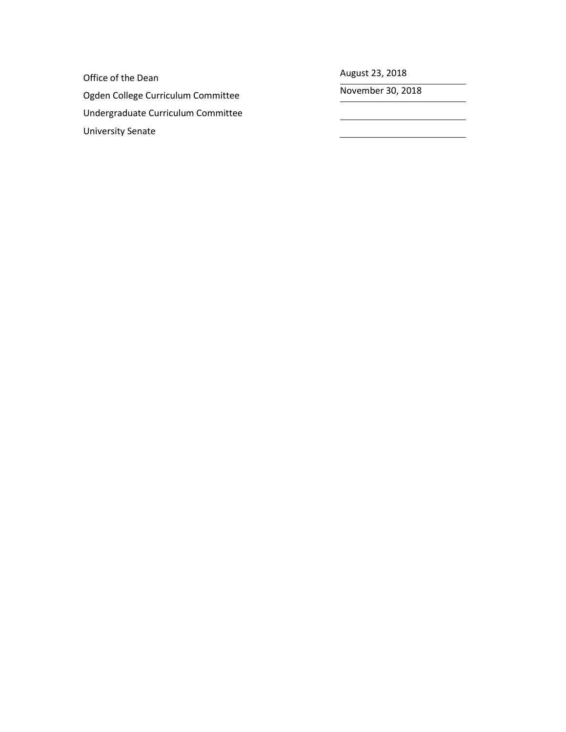Office of the Dean and August 23, 2018

Ogden College Curriculum Committee November 30, 2018 Undergraduate Curriculum Committee University Senate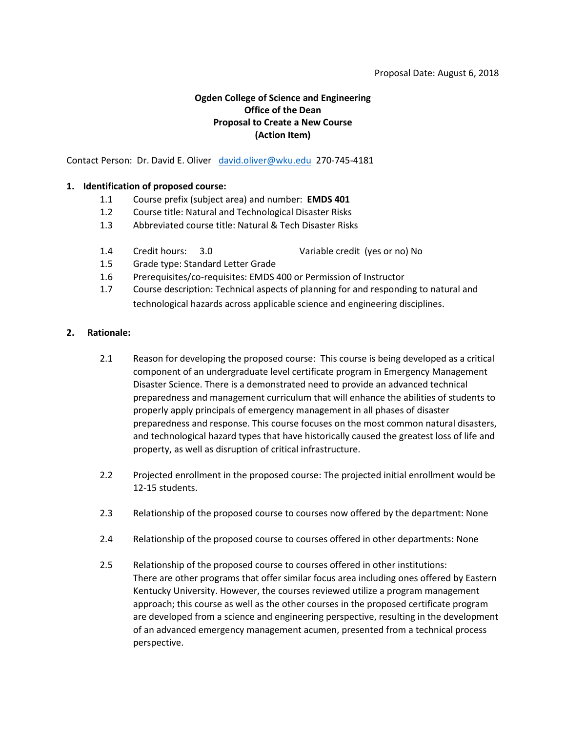# **Ogden College of Science and Engineering Office of the Dean Proposal to Create a New Course (Action Item)**

Contact Person: Dr. David E. Oliver [david.oliver@wku.edu](mailto:david.oliver@wku.edu) 270-745-4181

### **1. Identification of proposed course:**

- 1.1 Course prefix (subject area) and number: **EMDS 401**
- 1.2 Course title: Natural and Technological Disaster Risks
- 1.3 Abbreviated course title: Natural & Tech Disaster Risks
- 1.4 Credit hours: 3.0 Variable credit (yes or no) No

- 1.5 Grade type: Standard Letter Grade
- 1.6 Prerequisites/co-requisites: EMDS 400 or Permission of Instructor
- 1.7 Course description: Technical aspects of planning for and responding to natural and technological hazards across applicable science and engineering disciplines.

### **2. Rationale:**

- 2.1 Reason for developing the proposed course: This course is being developed as a critical component of an undergraduate level certificate program in Emergency Management Disaster Science. There is a demonstrated need to provide an advanced technical preparedness and management curriculum that will enhance the abilities of students to properly apply principals of emergency management in all phases of disaster preparedness and response. This course focuses on the most common natural disasters, and technological hazard types that have historically caused the greatest loss of life and property, as well as disruption of critical infrastructure.
- 2.2 Projected enrollment in the proposed course: The projected initial enrollment would be 12-15 students.
- 2.3 Relationship of the proposed course to courses now offered by the department: None
- 2.4 Relationship of the proposed course to courses offered in other departments: None
- 2.5 Relationship of the proposed course to courses offered in other institutions: There are other programs that offer similar focus area including ones offered by Eastern Kentucky University. However, the courses reviewed utilize a program management approach; this course as well as the other courses in the proposed certificate program are developed from a science and engineering perspective, resulting in the development of an advanced emergency management acumen, presented from a technical process perspective.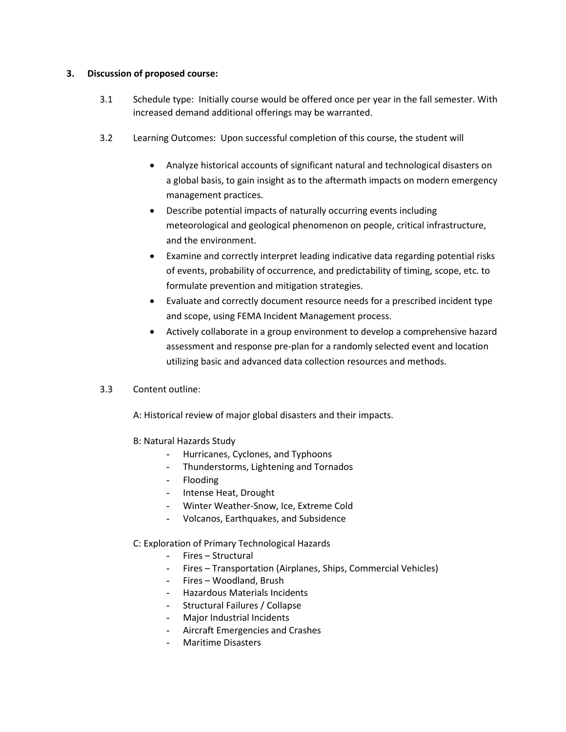## **3. Discussion of proposed course:**

- 3.1 Schedule type: Initially course would be offered once per year in the fall semester. With increased demand additional offerings may be warranted.
- 3.2 Learning Outcomes: Upon successful completion of this course, the student will
	- Analyze historical accounts of significant natural and technological disasters on a global basis, to gain insight as to the aftermath impacts on modern emergency management practices.
	- Describe potential impacts of naturally occurring events including meteorological and geological phenomenon on people, critical infrastructure, and the environment.
	- Examine and correctly interpret leading indicative data regarding potential risks of events, probability of occurrence, and predictability of timing, scope, etc. to formulate prevention and mitigation strategies.
	- Evaluate and correctly document resource needs for a prescribed incident type and scope, using FEMA Incident Management process.
	- Actively collaborate in a group environment to develop a comprehensive hazard assessment and response pre-plan for a randomly selected event and location utilizing basic and advanced data collection resources and methods.
- 3.3 Content outline:

A: Historical review of major global disasters and their impacts.

- B: Natural Hazards Study
	- Hurricanes, Cyclones, and Typhoons
	- Thunderstorms, Lightening and Tornados
	- Flooding
	- Intense Heat, Drought
	- Winter Weather-Snow, Ice, Extreme Cold
	- Volcanos, Earthquakes, and Subsidence

C: Exploration of Primary Technological Hazards

- Fires Structural
- Fires Transportation (Airplanes, Ships, Commercial Vehicles)
- Fires Woodland, Brush
- Hazardous Materials Incidents
- Structural Failures / Collapse
- Major Industrial Incidents
- Aircraft Emergencies and Crashes
- Maritime Disasters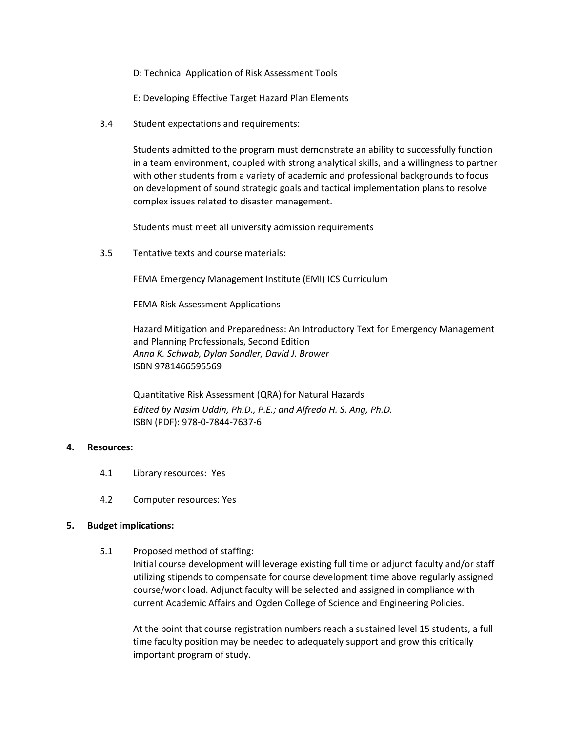- D: Technical Application of Risk Assessment Tools
- E: Developing Effective Target Hazard Plan Elements
- 3.4 Student expectations and requirements:

Students admitted to the program must demonstrate an ability to successfully function in a team environment, coupled with strong analytical skills, and a willingness to partner with other students from a variety of academic and professional backgrounds to focus on development of sound strategic goals and tactical implementation plans to resolve complex issues related to disaster management.

Students must meet all university admission requirements

3.5 Tentative texts and course materials:

FEMA Emergency Management Institute (EMI) ICS Curriculum

FEMA Risk Assessment Applications

Hazard Mitigation and Preparedness: An Introductory Text for Emergency Management and Planning Professionals, Second Edition *Anna K. Schwab, Dylan Sandler, David J. Brower* ISBN 9781466595569

Quantitative Risk Assessment (QRA) for Natural Hazards *Edited by [Nasim Uddin,](http://ascelibrary.org/author/Uddin%2C+Nasim) Ph.D., P.E.; and [Alfredo H. S. Ang,](http://ascelibrary.org/author/Ang%2C+Alfredo+H+S) Ph.D.* ISBN (PDF): 978-0-7844-7637-6

#### **4. Resources:**

- 4.1 Library resources: Yes
- 4.2 Computer resources: Yes

#### **5. Budget implications:**

5.1 Proposed method of staffing:

Initial course development will leverage existing full time or adjunct faculty and/or staff utilizing stipends to compensate for course development time above regularly assigned course/work load. Adjunct faculty will be selected and assigned in compliance with current Academic Affairs and Ogden College of Science and Engineering Policies.

At the point that course registration numbers reach a sustained level 15 students, a full time faculty position may be needed to adequately support and grow this critically important program of study.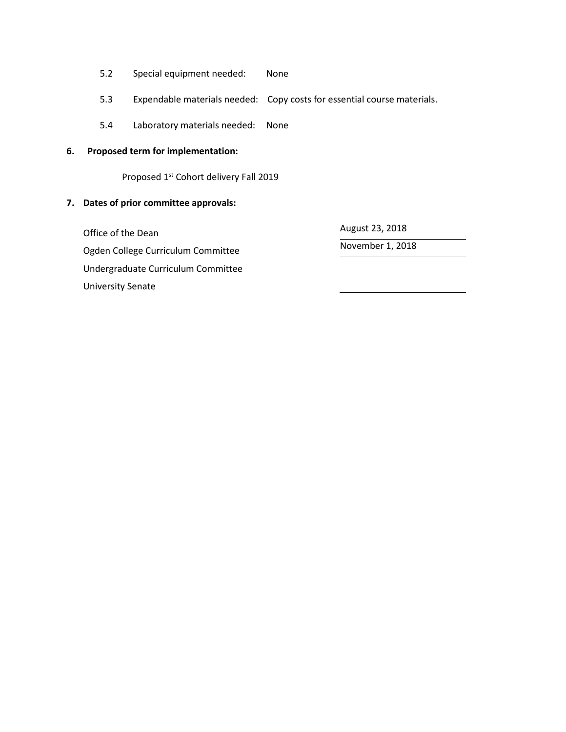- 5.2 Special equipment needed: None
- 5.3 Expendable materials needed: Copy costs for essential course materials.
- 5.4 Laboratory materials needed: None

### **6. Proposed term for implementation:**

Proposed 1<sup>st</sup> Cohort delivery Fall 2019

## **7. Dates of prior committee approvals:**

Office of the Dean and August 23, 2018 Ogden College Curriculum Committee Manuel Alexander 1, 2018 Undergraduate Curriculum Committee University Senate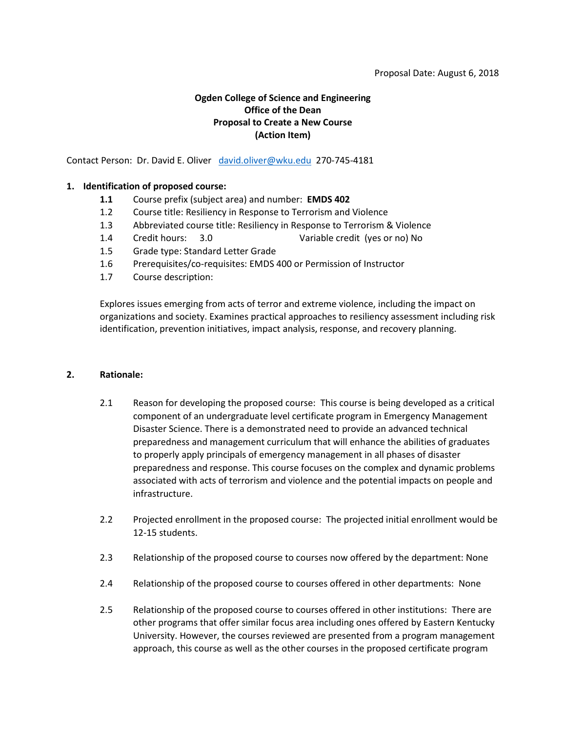# **Ogden College of Science and Engineering Office of the Dean Proposal to Create a New Course (Action Item)**

Contact Person: Dr. David E. Oliver [david.oliver@wku.edu](mailto:david.oliver@wku.edu) 270-745-4181

## **1. Identification of proposed course:**

- **1.1** Course prefix (subject area) and number: **EMDS 402**
- 1.2 Course title: Resiliency in Response to Terrorism and Violence
- 1.3 Abbreviated course title: Resiliency in Response to Terrorism & Violence
- 1.4 Credit hours: 3.0 Variable credit (yes or no) No
- 1.5 Grade type: Standard Letter Grade
- 1.6 Prerequisites/co-requisites: EMDS 400 or Permission of Instructor
- 1.7 Course description:

Explores issues emerging from acts of terror and extreme violence, including the impact on organizations and society. Examines practical approaches to resiliency assessment including risk identification, prevention initiatives, impact analysis, response, and recovery planning.

#### **2. Rationale:**

- 2.1 Reason for developing the proposed course: This course is being developed as a critical component of an undergraduate level certificate program in Emergency Management Disaster Science. There is a demonstrated need to provide an advanced technical preparedness and management curriculum that will enhance the abilities of graduates to properly apply principals of emergency management in all phases of disaster preparedness and response. This course focuses on the complex and dynamic problems associated with acts of terrorism and violence and the potential impacts on people and infrastructure.
- 2.2 Projected enrollment in the proposed course: The projected initial enrollment would be 12-15 students.
- 2.3 Relationship of the proposed course to courses now offered by the department: None
- 2.4 Relationship of the proposed course to courses offered in other departments: None
- 2.5 Relationship of the proposed course to courses offered in other institutions: There are other programs that offer similar focus area including ones offered by Eastern Kentucky University. However, the courses reviewed are presented from a program management approach, this course as well as the other courses in the proposed certificate program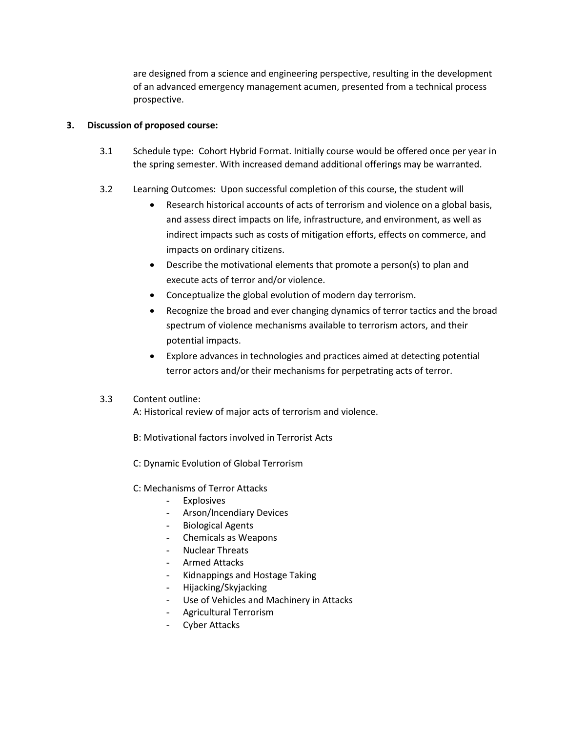are designed from a science and engineering perspective, resulting in the development of an advanced emergency management acumen, presented from a technical process prospective.

## **3. Discussion of proposed course:**

- 3.1 Schedule type: Cohort Hybrid Format. Initially course would be offered once per year in the spring semester. With increased demand additional offerings may be warranted.
- 3.2 Learning Outcomes: Upon successful completion of this course, the student will
	- Research historical accounts of acts of terrorism and violence on a global basis, and assess direct impacts on life, infrastructure, and environment, as well as indirect impacts such as costs of mitigation efforts, effects on commerce, and impacts on ordinary citizens.
	- Describe the motivational elements that promote a person(s) to plan and execute acts of terror and/or violence.
	- Conceptualize the global evolution of modern day terrorism.
	- Recognize the broad and ever changing dynamics of terror tactics and the broad spectrum of violence mechanisms available to terrorism actors, and their potential impacts.
	- Explore advances in technologies and practices aimed at detecting potential terror actors and/or their mechanisms for perpetrating acts of terror.

# 3.3 Content outline:

A: Historical review of major acts of terrorism and violence.

- B: Motivational factors involved in Terrorist Acts
- C: Dynamic Evolution of Global Terrorism
- C: Mechanisms of Terror Attacks
	- Explosives
	- Arson/Incendiary Devices
	- Biological Agents
	- Chemicals as Weapons
	- Nuclear Threats
	- Armed Attacks
	- Kidnappings and Hostage Taking
	- Hijacking/Skyjacking
	- Use of Vehicles and Machinery in Attacks
	- Agricultural Terrorism
	- Cyber Attacks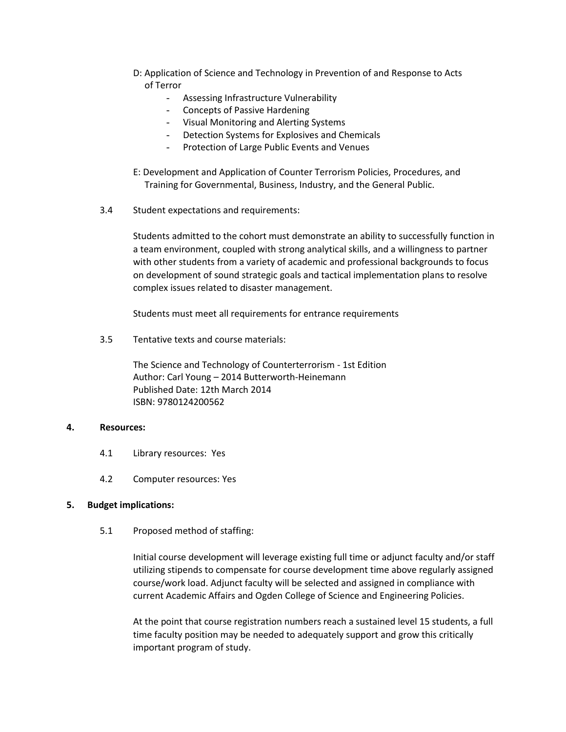- D: Application of Science and Technology in Prevention of and Response to Acts of Terror
	- Assessing Infrastructure Vulnerability
	- Concepts of Passive Hardening
	- Visual Monitoring and Alerting Systems
	- Detection Systems for Explosives and Chemicals
	- Protection of Large Public Events and Venues
- E: Development and Application of Counter Terrorism Policies, Procedures, and Training for Governmental, Business, Industry, and the General Public.
- 3.4 Student expectations and requirements:

Students admitted to the cohort must demonstrate an ability to successfully function in a team environment, coupled with strong analytical skills, and a willingness to partner with other students from a variety of academic and professional backgrounds to focus on development of sound strategic goals and tactical implementation plans to resolve complex issues related to disaster management.

Students must meet all requirements for entrance requirements

3.5 Tentative texts and course materials:

The Science and Technology of Counterterrorism - 1st Edition Author: Carl Young – 2014 Butterworth-Heinemann Published Date: 12th March 2014 ISBN: 9780124200562

#### **4. Resources:**

- 4.1 Library resources: Yes
- 4.2 Computer resources: Yes

#### **5. Budget implications:**

5.1 Proposed method of staffing:

Initial course development will leverage existing full time or adjunct faculty and/or staff utilizing stipends to compensate for course development time above regularly assigned course/work load. Adjunct faculty will be selected and assigned in compliance with current Academic Affairs and Ogden College of Science and Engineering Policies.

At the point that course registration numbers reach a sustained level 15 students, a full time faculty position may be needed to adequately support and grow this critically important program of study.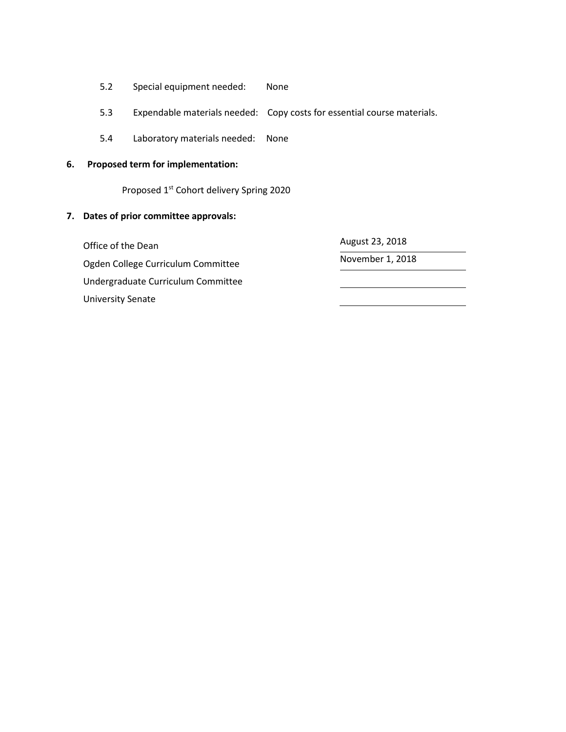- 5.2 Special equipment needed: None
- 5.3 Expendable materials needed: Copy costs for essential course materials.
- 5.4 Laboratory materials needed: None

# **6. Proposed term for implementation:**

Proposed 1st Cohort delivery Spring 2020

# **7. Dates of prior committee approvals:**

Office of the Dean and August 23, 2018 Ogden College Curriculum Committee Manuel Alexander 1, 2018 Undergraduate Curriculum Committee University Senate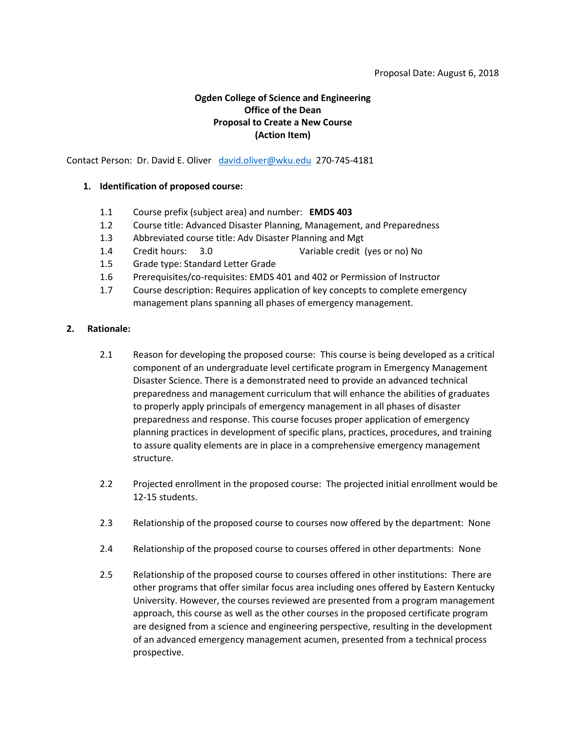#### Proposal Date: August 6, 2018

# **Ogden College of Science and Engineering Office of the Dean Proposal to Create a New Course (Action Item)**

Contact Person: Dr. David E. Oliver [david.oliver@wku.edu](mailto:david.oliver@wku.edu) 270-745-4181

### **1. Identification of proposed course:**

- 1.1 Course prefix (subject area) and number: **EMDS 403**
- 1.2 Course title: Advanced Disaster Planning, Management, and Preparedness
- 1.3 Abbreviated course title: Adv Disaster Planning and Mgt
- 1.4 Credit hours: 3.0 Variable credit (yes or no) No
- 1.5 Grade type: Standard Letter Grade
- 1.6 Prerequisites/co-requisites: EMDS 401 and 402 or Permission of Instructor
- 1.7 Course description: Requires application of key concepts to complete emergency management plans spanning all phases of emergency management.

#### **2. Rationale:**

- 2.1 Reason for developing the proposed course: This course is being developed as a critical component of an undergraduate level certificate program in Emergency Management Disaster Science. There is a demonstrated need to provide an advanced technical preparedness and management curriculum that will enhance the abilities of graduates to properly apply principals of emergency management in all phases of disaster preparedness and response. This course focuses proper application of emergency planning practices in development of specific plans, practices, procedures, and training to assure quality elements are in place in a comprehensive emergency management structure.
- 2.2 Projected enrollment in the proposed course: The projected initial enrollment would be 12-15 students.
- 2.3 Relationship of the proposed course to courses now offered by the department: None
- 2.4 Relationship of the proposed course to courses offered in other departments: None
- 2.5 Relationship of the proposed course to courses offered in other institutions: There are other programs that offer similar focus area including ones offered by Eastern Kentucky University. However, the courses reviewed are presented from a program management approach, this course as well as the other courses in the proposed certificate program are designed from a science and engineering perspective, resulting in the development of an advanced emergency management acumen, presented from a technical process prospective.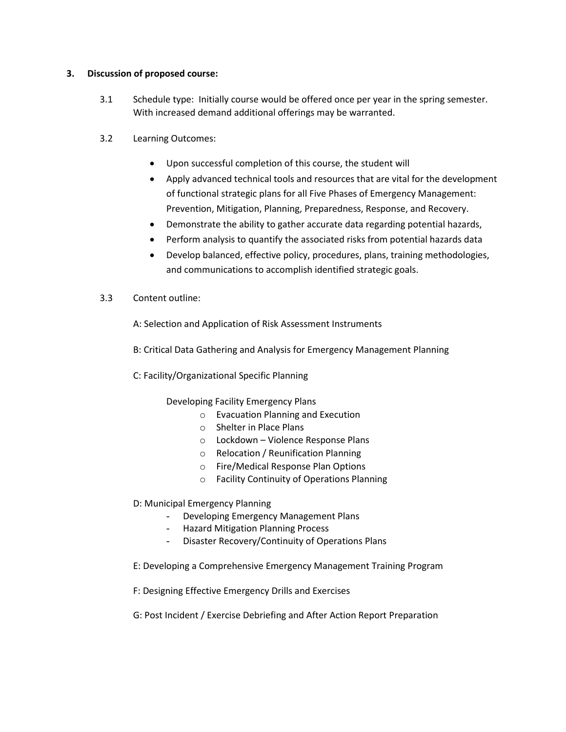## **3. Discussion of proposed course:**

- 3.1 Schedule type: Initially course would be offered once per year in the spring semester. With increased demand additional offerings may be warranted.
- 3.2 Learning Outcomes:
	- Upon successful completion of this course, the student will
	- Apply advanced technical tools and resources that are vital for the development of functional strategic plans for all Five Phases of Emergency Management: Prevention, Mitigation, Planning, Preparedness, Response, and Recovery.
	- Demonstrate the ability to gather accurate data regarding potential hazards,
	- Perform analysis to quantify the associated risks from potential hazards data
	- Develop balanced, effective policy, procedures, plans, training methodologies, and communications to accomplish identified strategic goals.
- 3.3 Content outline:

A: Selection and Application of Risk Assessment Instruments

- B: Critical Data Gathering and Analysis for Emergency Management Planning
- C: Facility/Organizational Specific Planning

Developing Facility Emergency Plans

- o Evacuation Planning and Execution
- o Shelter in Place Plans
- o Lockdown Violence Response Plans
- o Relocation / Reunification Planning
- o Fire/Medical Response Plan Options
- o Facility Continuity of Operations Planning
- D: Municipal Emergency Planning
	- Developing Emergency Management Plans
	- Hazard Mitigation Planning Process
	- Disaster Recovery/Continuity of Operations Plans
- E: Developing a Comprehensive Emergency Management Training Program
- F: Designing Effective Emergency Drills and Exercises
- G: Post Incident / Exercise Debriefing and After Action Report Preparation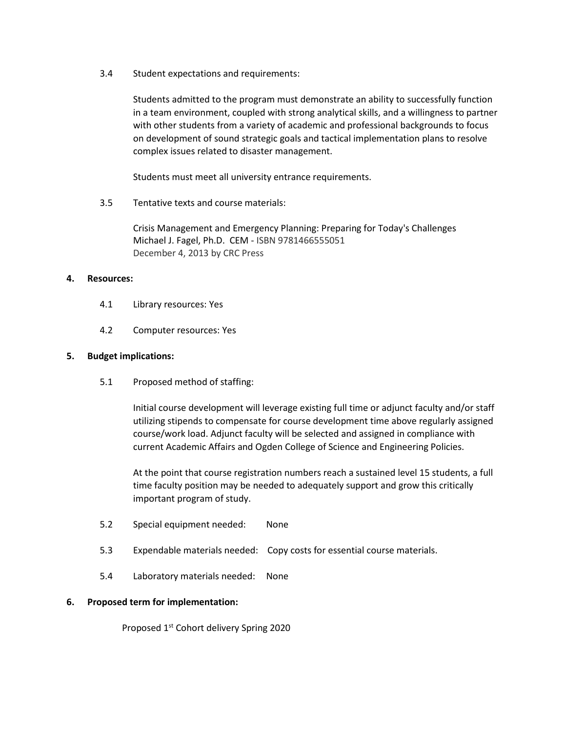3.4 Student expectations and requirements:

Students admitted to the program must demonstrate an ability to successfully function in a team environment, coupled with strong analytical skills, and a willingness to partner with other students from a variety of academic and professional backgrounds to focus on development of sound strategic goals and tactical implementation plans to resolve complex issues related to disaster management.

Students must meet all university entrance requirements.

3.5 Tentative texts and course materials:

Crisis Management and Emergency Planning: Preparing for Today's Challenges Michael J. Fagel, Ph.D. CEM - ISBN 9781466555051 December 4, 2013 by CRC Press

## **4. Resources:**

- 4.1 Library resources: Yes
- 4.2 Computer resources: Yes

## **5. Budget implications:**

5.1 Proposed method of staffing:

Initial course development will leverage existing full time or adjunct faculty and/or staff utilizing stipends to compensate for course development time above regularly assigned course/work load. Adjunct faculty will be selected and assigned in compliance with current Academic Affairs and Ogden College of Science and Engineering Policies.

At the point that course registration numbers reach a sustained level 15 students, a full time faculty position may be needed to adequately support and grow this critically important program of study.

- 5.2 Special equipment needed: None
- 5.3 Expendable materials needed: Copy costs for essential course materials.
- 5.4 Laboratory materials needed: None

## **6. Proposed term for implementation:**

Proposed 1<sup>st</sup> Cohort delivery Spring 2020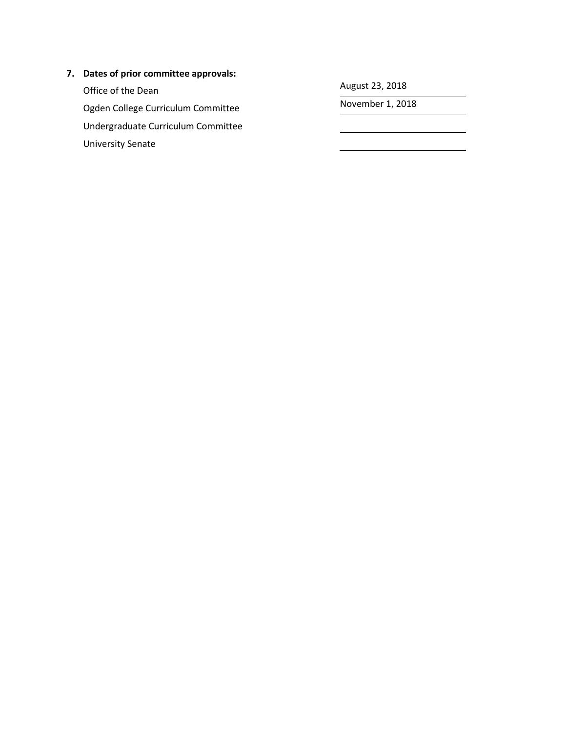# **7. Dates of prior committee approvals:**

Office of the Dean August 23, 2018<br>
Orden College Curriculum Committee Movember 1, 2018 Ogden College Curriculum Committee Undergraduate Curriculum Committee University Senate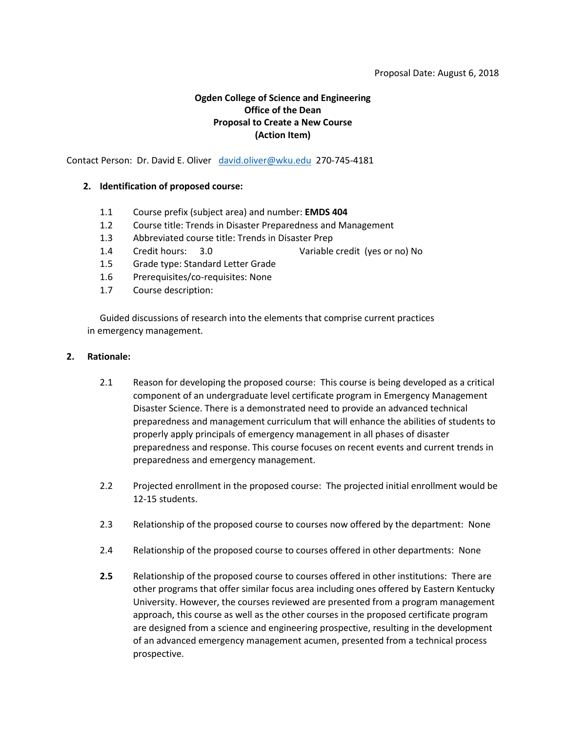#### Proposal Date: August 6, 2018

# **Ogden College of Science and Engineering Office of the Dean Proposal to Create a New Course (Action Item)**

Contact Person: Dr. David E. Oliver [david.oliver@wku.edu](mailto:david.oliver@wku.edu) 270-745-4181

### **2. Identification of proposed course:**

- 1.1 Course prefix (subject area) and number: **EMDS 404**
- 1.2 Course title: Trends in Disaster Preparedness and Management
- 1.3 Abbreviated course title: Trends in Disaster Prep
- 1.4 Credit hours: 3.0 Variable credit (yes or no) No
- 1.5 Grade type: Standard Letter Grade
- 1.6 Prerequisites/co-requisites: None
- 1.7 Course description:

Guided discussions of research into the elements that comprise current practices in emergency management.

#### **2. Rationale:**

- 2.1 Reason for developing the proposed course: This course is being developed as a critical component of an undergraduate level certificate program in Emergency Management Disaster Science. There is a demonstrated need to provide an advanced technical preparedness and management curriculum that will enhance the abilities of students to properly apply principals of emergency management in all phases of disaster preparedness and response. This course focuses on recent events and current trends in preparedness and emergency management.
- 2.2 Projected enrollment in the proposed course: The projected initial enrollment would be 12-15 students.
- 2.3 Relationship of the proposed course to courses now offered by the department: None
- 2.4 Relationship of the proposed course to courses offered in other departments: None
- **2.5** Relationship of the proposed course to courses offered in other institutions: There are other programs that offer similar focus area including ones offered by Eastern Kentucky University. However, the courses reviewed are presented from a program management approach, this course as well as the other courses in the proposed certificate program are designed from a science and engineering prospective, resulting in the development of an advanced emergency management acumen, presented from a technical process prospective.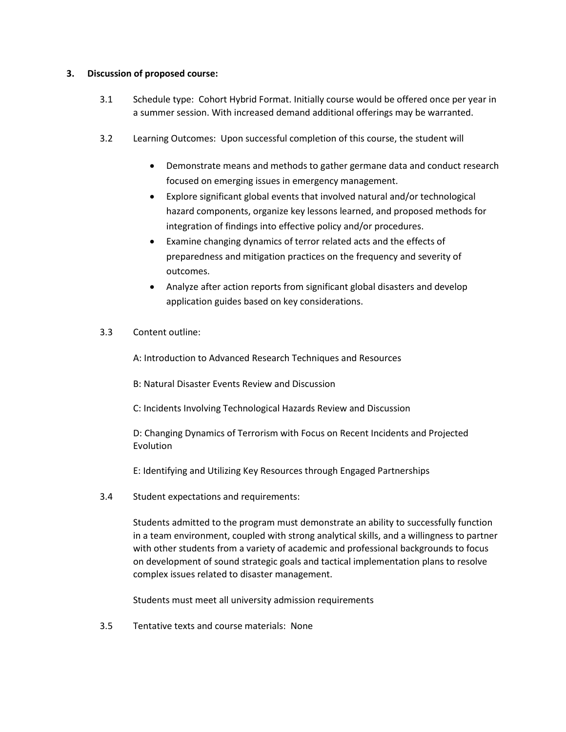## **3. Discussion of proposed course:**

- 3.1 Schedule type: Cohort Hybrid Format. Initially course would be offered once per year in a summer session. With increased demand additional offerings may be warranted.
- 3.2 Learning Outcomes: Upon successful completion of this course, the student will
	- Demonstrate means and methods to gather germane data and conduct research focused on emerging issues in emergency management.
	- Explore significant global events that involved natural and/or technological hazard components, organize key lessons learned, and proposed methods for integration of findings into effective policy and/or procedures.
	- Examine changing dynamics of terror related acts and the effects of preparedness and mitigation practices on the frequency and severity of outcomes.
	- Analyze after action reports from significant global disasters and develop application guides based on key considerations.
- 3.3 Content outline:

A: Introduction to Advanced Research Techniques and Resources

B: Natural Disaster Events Review and Discussion

C: Incidents Involving Technological Hazards Review and Discussion

D: Changing Dynamics of Terrorism with Focus on Recent Incidents and Projected Evolution

E: Identifying and Utilizing Key Resources through Engaged Partnerships

3.4 Student expectations and requirements:

Students admitted to the program must demonstrate an ability to successfully function in a team environment, coupled with strong analytical skills, and a willingness to partner with other students from a variety of academic and professional backgrounds to focus on development of sound strategic goals and tactical implementation plans to resolve complex issues related to disaster management.

Students must meet all university admission requirements

3.5 Tentative texts and course materials: None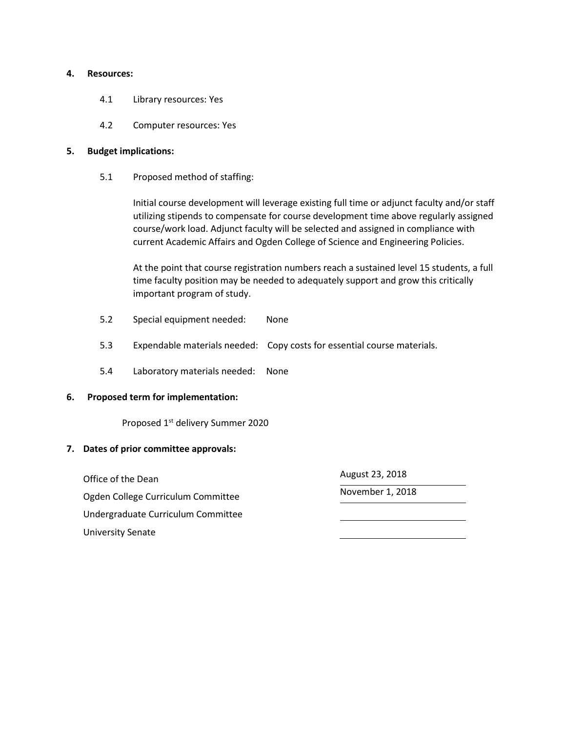#### **4. Resources:**

- 4.1 Library resources: Yes
- 4.2 Computer resources: Yes

### **5. Budget implications:**

5.1 Proposed method of staffing:

Initial course development will leverage existing full time or adjunct faculty and/or staff utilizing stipends to compensate for course development time above regularly assigned course/work load. Adjunct faculty will be selected and assigned in compliance with current Academic Affairs and Ogden College of Science and Engineering Policies.

At the point that course registration numbers reach a sustained level 15 students, a full time faculty position may be needed to adequately support and grow this critically important program of study.

- 5.2 Special equipment needed: None
- 5.3 Expendable materials needed: Copy costs for essential course materials.
- 5.4 Laboratory materials needed: None

## **6. Proposed term for implementation:**

Proposed 1st delivery Summer 2020

## **7. Dates of prior committee approvals:**

Office of the Dean and August 23, 2018 Ogden College Curriculum Committee Manuel Alexander 1, 2018 Undergraduate Curriculum Committee University Senate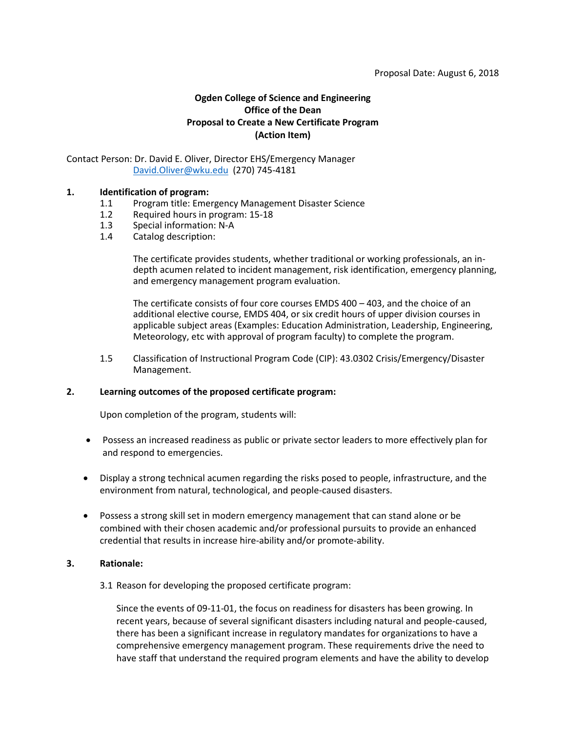# **Ogden College of Science and Engineering Office of the Dean Proposal to Create a New Certificate Program (Action Item)**

### Contact Person: Dr. David E. Oliver, Director EHS/Emergency Manager [David.Oliver@wku.edu](mailto:David.Oliver@wku.edu) (270) 745-4181

## **1. Identification of program:**

- 1.1 Program title: Emergency Management Disaster Science
- 1.2 Required hours in program: 15-18
- 1.3 Special information: N-A
- 1.4 Catalog description:

The certificate provides students, whether traditional or working professionals, an indepth acumen related to incident management, risk identification, emergency planning, and emergency management program evaluation.

The certificate consists of four core courses EMDS 400 – 403, and the choice of an additional elective course, EMDS 404, or six credit hours of upper division courses in applicable subject areas (Examples: Education Administration, Leadership, Engineering, Meteorology, etc with approval of program faculty) to complete the program.

1.5 Classification of Instructional Program Code (CIP): 43.0302 Crisis/Emergency/Disaster Management.

#### **2. Learning outcomes of the proposed certificate program:**

Upon completion of the program, students will:

- Possess an increased readiness as public or private sector leaders to more effectively plan for and respond to emergencies.
- Display a strong technical acumen regarding the risks posed to people, infrastructure, and the environment from natural, technological, and people-caused disasters.
- Possess a strong skill set in modern emergency management that can stand alone or be combined with their chosen academic and/or professional pursuits to provide an enhanced credential that results in increase hire-ability and/or promote-ability.

#### **3. Rationale:**

3.1 Reason for developing the proposed certificate program:

Since the events of 09-11-01, the focus on readiness for disasters has been growing. In recent years, because of several significant disasters including natural and people-caused, there has been a significant increase in regulatory mandates for organizations to have a comprehensive emergency management program. These requirements drive the need to have staff that understand the required program elements and have the ability to develop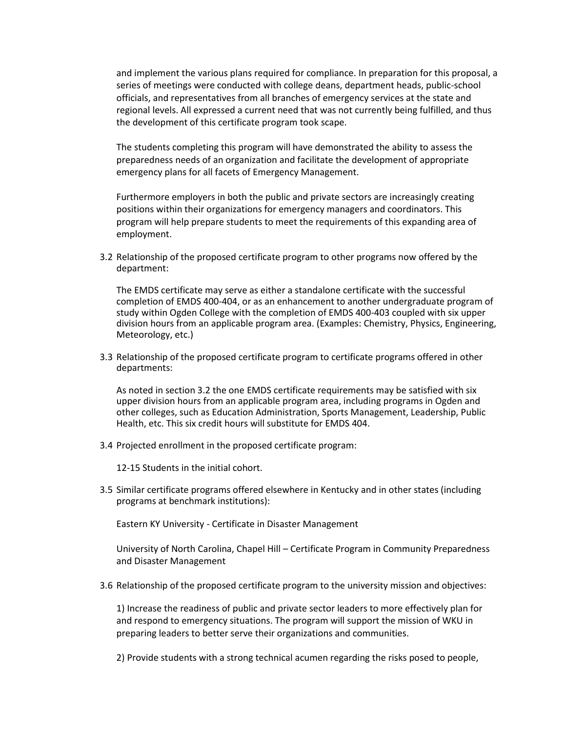and implement the various plans required for compliance. In preparation for this proposal, a series of meetings were conducted with college deans, department heads, public-school officials, and representatives from all branches of emergency services at the state and regional levels. All expressed a current need that was not currently being fulfilled, and thus the development of this certificate program took scape.

The students completing this program will have demonstrated the ability to assess the preparedness needs of an organization and facilitate the development of appropriate emergency plans for all facets of Emergency Management.

Furthermore employers in both the public and private sectors are increasingly creating positions within their organizations for emergency managers and coordinators. This program will help prepare students to meet the requirements of this expanding area of employment.

3.2 Relationship of the proposed certificate program to other programs now offered by the department:

The EMDS certificate may serve as either a standalone certificate with the successful completion of EMDS 400-404, or as an enhancement to another undergraduate program of study within Ogden College with the completion of EMDS 400-403 coupled with six upper division hours from an applicable program area. (Examples: Chemistry, Physics, Engineering, Meteorology, etc.)

3.3 Relationship of the proposed certificate program to certificate programs offered in other departments:

As noted in section 3.2 the one EMDS certificate requirements may be satisfied with six upper division hours from an applicable program area, including programs in Ogden and other colleges, such as Education Administration, Sports Management, Leadership, Public Health, etc. This six credit hours will substitute for EMDS 404.

3.4 Projected enrollment in the proposed certificate program:

12-15 Students in the initial cohort.

3.5 Similar certificate programs offered elsewhere in Kentucky and in other states (including programs at benchmark institutions):

Eastern KY University - Certificate in Disaster Management

University of North Carolina, Chapel Hill – Certificate Program in Community Preparedness and Disaster Management

3.6 Relationship of the proposed certificate program to the university mission and objectives:

1) Increase the readiness of public and private sector leaders to more effectively plan for and respond to emergency situations. The program will support the mission of WKU in preparing leaders to better serve their organizations and communities.

2) Provide students with a strong technical acumen regarding the risks posed to people,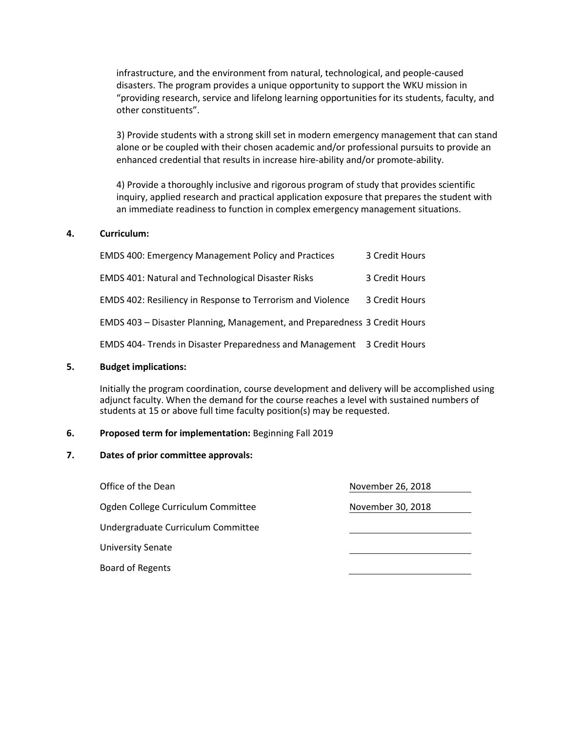infrastructure, and the environment from natural, technological, and people-caused disasters. The program provides a unique opportunity to support the WKU mission in "providing research, service and lifelong learning opportunities for its students, faculty, and other constituents".

3) Provide students with a strong skill set in modern emergency management that can stand alone or be coupled with their chosen academic and/or professional pursuits to provide an enhanced credential that results in increase hire-ability and/or promote-ability.

4) Provide a thoroughly inclusive and rigorous program of study that provides scientific inquiry, applied research and practical application exposure that prepares the student with an immediate readiness to function in complex emergency management situations.

#### **4. Curriculum:**

| <b>EMDS 400: Emergency Management Policy and Practices</b>                | 3 Credit Hours |
|---------------------------------------------------------------------------|----------------|
| <b>EMDS 401: Natural and Technological Disaster Risks</b>                 | 3 Credit Hours |
| EMDS 402: Resiliency in Response to Terrorism and Violence                | 3 Credit Hours |
| EMDS 403 - Disaster Planning, Management, and Preparedness 3 Credit Hours |                |
| EMDS 404- Trends in Disaster Preparedness and Management 3 Credit Hours   |                |

#### **5. Budget implications:**

Initially the program coordination, course development and delivery will be accomplished using adjunct faculty. When the demand for the course reaches a level with sustained numbers of students at 15 or above full time faculty position(s) may be requested.

#### **6. Proposed term for implementation:** Beginning Fall 2019

#### **7. Dates of prior committee approvals:**

Office of the Dean November 26, 2018 Ogden College Curriculum Committee Manuel November 30, 2018 Undergraduate Curriculum Committee University Senate Board of Regents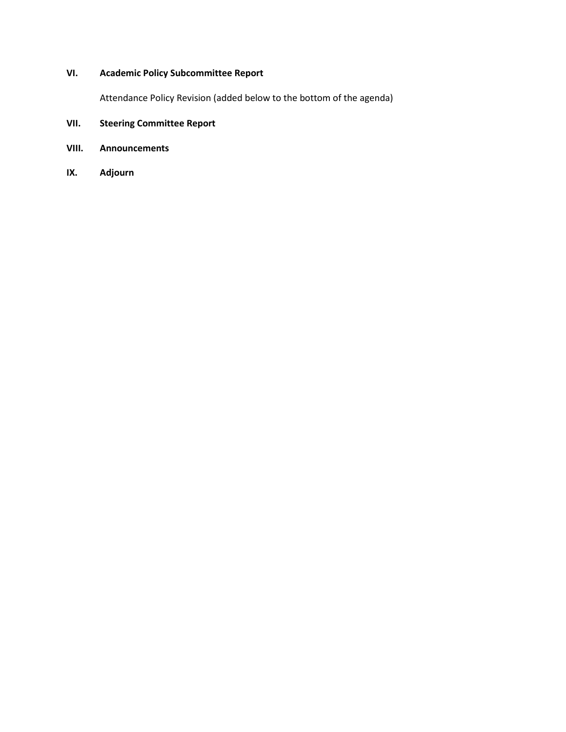# **VI. Academic Policy Subcommittee Report**

Attendance Policy Revision (added below to the bottom of the agenda)

# **VII. Steering Committee Report**

- **VIII. Announcements**
- **IX. Adjourn**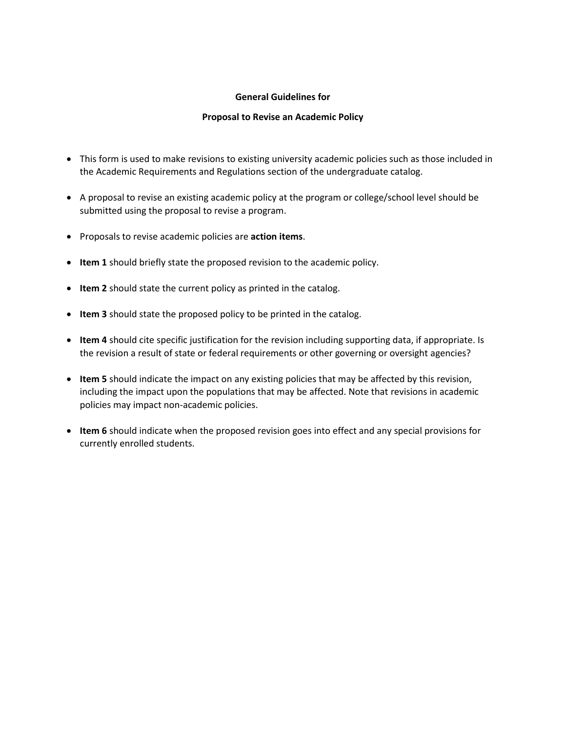## **General Guidelines for**

### **Proposal to Revise an Academic Policy**

- This form is used to make revisions to existing university academic policies such as those included in the Academic Requirements and Regulations section of the undergraduate catalog.
- A proposal to revise an existing academic policy at the program or college/school level should be submitted using the proposal to revise a program.
- Proposals to revise academic policies are **action items**.
- **Item 1** should briefly state the proposed revision to the academic policy.
- **Item 2** should state the current policy as printed in the catalog.
- **Item 3** should state the proposed policy to be printed in the catalog.
- **Item 4** should cite specific justification for the revision including supporting data, if appropriate. Is the revision a result of state or federal requirements or other governing or oversight agencies?
- **Item 5** should indicate the impact on any existing policies that may be affected by this revision, including the impact upon the populations that may be affected. Note that revisions in academic policies may impact non-academic policies.
- **Item 6** should indicate when the proposed revision goes into effect and any special provisions for currently enrolled students.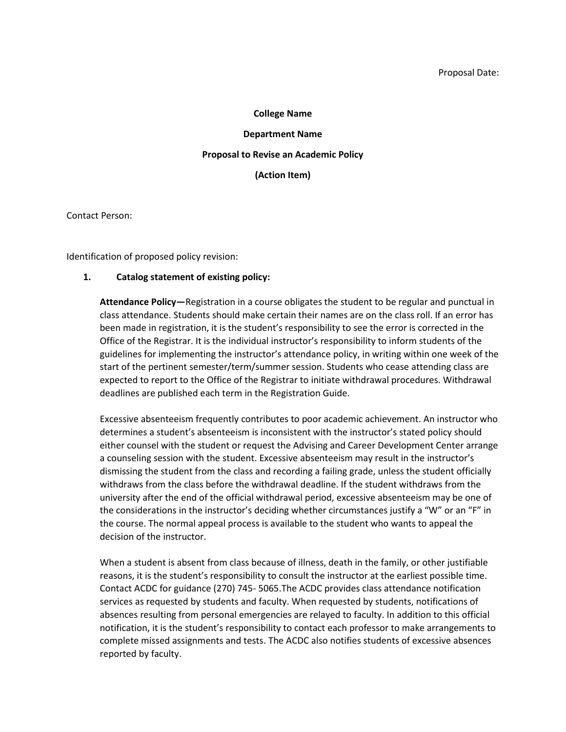#### **College Name**

#### **Department Name**

#### **Proposal to Revise an Academic Policy**

**(Action Item)**

Contact Person:

Identification of proposed policy revision:

#### **1. Catalog statement of existing policy:**

**Attendance Policy—**Registration in a course obligates the student to be regular and punctual in class attendance. Students should make certain their names are on the class roll. If an error has been made in registration, it is the student's responsibility to see the error is corrected in the Office of the Registrar. It is the individual instructor's responsibility to inform students of the guidelines for implementing the instructor's attendance policy, in writing within one week of the start of the pertinent semester/term/summer session. Students who cease attending class are expected to report to the Office of the Registrar to initiate withdrawal procedures. Withdrawal deadlines are published each term in the Registration Guide.

Excessive absenteeism frequently contributes to poor academic achievement. An instructor who determines a student's absenteeism is inconsistent with the instructor's stated policy should either counsel with the student or request the Advising and Career Development Center arrange a counseling session with the student. Excessive absenteeism may result in the instructor's dismissing the student from the class and recording a failing grade, unless the student officially withdraws from the class before the withdrawal deadline. If the student withdraws from the university after the end of the official withdrawal period, excessive absenteeism may be one of the considerations in the instructor's deciding whether circumstances justify a "W" or an "F" in the course. The normal appeal process is available to the student who wants to appeal the decision of the instructor.

When a student is absent from class because of illness, death in the family, or other justifiable reasons, it is the student's responsibility to consult the instructor at the earliest possible time. Contact ACDC for guidance (270) 745- 5065.The ACDC provides class attendance notification services as requested by students and faculty. When requested by students, notifications of absences resulting from personal emergencies are relayed to faculty. In addition to this official notification, it is the student's responsibility to contact each professor to make arrangements to complete missed assignments and tests. The ACDC also notifies students of excessive absences reported by faculty.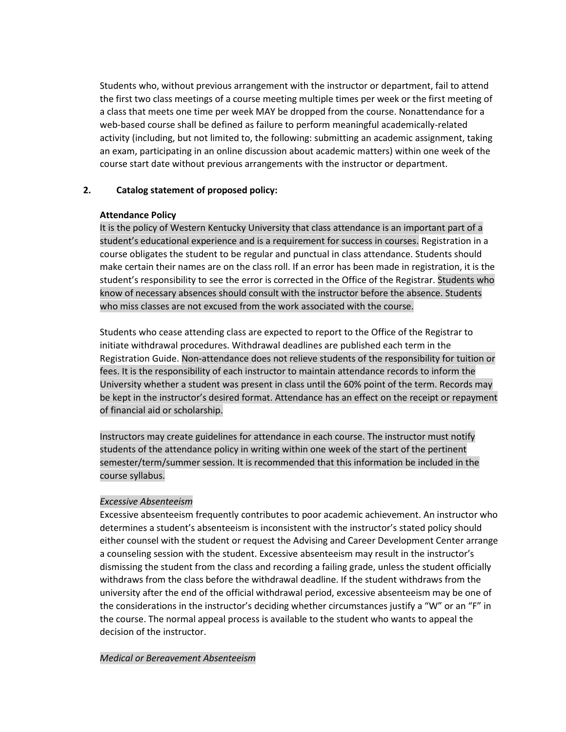Students who, without previous arrangement with the instructor or department, fail to attend the first two class meetings of a course meeting multiple times per week or the first meeting of a class that meets one time per week MAY be dropped from the course. Nonattendance for a web-based course shall be defined as failure to perform meaningful academically-related activity (including, but not limited to, the following: submitting an academic assignment, taking an exam, participating in an online discussion about academic matters) within one week of the course start date without previous arrangements with the instructor or department.

## **2. Catalog statement of proposed policy:**

## **Attendance Policy**

It is the policy of Western Kentucky University that class attendance is an important part of a student's educational experience and is a requirement for success in courses. Registration in a course obligates the student to be regular and punctual in class attendance. Students should make certain their names are on the class roll. If an error has been made in registration, it is the student's responsibility to see the error is corrected in the Office of the Registrar. Students who know of necessary absences should consult with the instructor before the absence. Students who miss classes are not excused from the work associated with the course.

Students who cease attending class are expected to report to the Office of the Registrar to initiate withdrawal procedures. Withdrawal deadlines are published each term in the Registration Guide. Non-attendance does not relieve students of the responsibility for tuition or fees. It is the responsibility of each instructor to maintain attendance records to inform the University whether a student was present in class until the 60% point of the term. Records may be kept in the instructor's desired format. Attendance has an effect on the receipt or repayment of financial aid or scholarship.

Instructors may create guidelines for attendance in each course. The instructor must notify students of the attendance policy in writing within one week of the start of the pertinent semester/term/summer session. It is recommended that this information be included in the course syllabus.

## *Excessive Absenteeism*

Excessive absenteeism frequently contributes to poor academic achievement. An instructor who determines a student's absenteeism is inconsistent with the instructor's stated policy should either counsel with the student or request the Advising and Career Development Center arrange a counseling session with the student. Excessive absenteeism may result in the instructor's dismissing the student from the class and recording a failing grade, unless the student officially withdraws from the class before the withdrawal deadline. If the student withdraws from the university after the end of the official withdrawal period, excessive absenteeism may be one of the considerations in the instructor's deciding whether circumstances justify a "W" or an "F" in the course. The normal appeal process is available to the student who wants to appeal the decision of the instructor.

*Medical or Bereavement Absenteeism*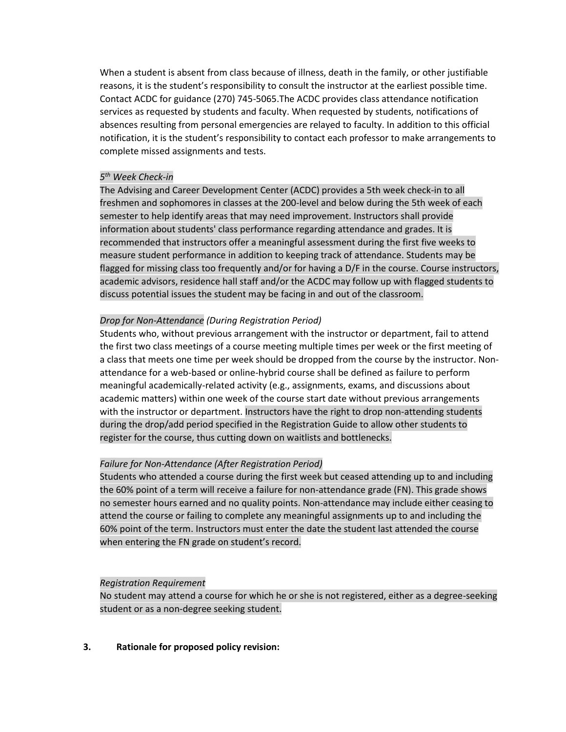When a student is absent from class because of illness, death in the family, or other justifiable reasons, it is the student's responsibility to consult the instructor at the earliest possible time. Contact ACDC for guidance (270) 745-5065.The ACDC provides class attendance notification services as requested by students and faculty. When requested by students, notifications of absences resulting from personal emergencies are relayed to faculty. In addition to this official notification, it is the student's responsibility to contact each professor to make arrangements to complete missed assignments and tests.

# *5 th Week Check-in*

The Advising and Career Development Center (ACDC) provides a 5th week check-in to all freshmen and sophomores in classes at the 200-level and below during the 5th week of each semester to help identify areas that may need improvement. Instructors shall provide information about students' class performance regarding attendance and grades. It is recommended that instructors offer a meaningful assessment during the first five weeks to measure student performance in addition to keeping track of attendance. Students may be flagged for missing class too frequently and/or for having a D/F in the course. Course instructors, academic advisors, residence hall staff and/or the ACDC may follow up with flagged students to discuss potential issues the student may be facing in and out of the classroom.

## *Drop for Non-Attendance (During Registration Period)*

Students who, without previous arrangement with the instructor or department, fail to attend the first two class meetings of a course meeting multiple times per week or the first meeting of a class that meets one time per week should be dropped from the course by the instructor. Nonattendance for a web-based or online-hybrid course shall be defined as failure to perform meaningful academically-related activity (e.g., assignments, exams, and discussions about academic matters) within one week of the course start date without previous arrangements with the instructor or department. Instructors have the right to drop non-attending students during the drop/add period specified in the Registration Guide to allow other students to register for the course, thus cutting down on waitlists and bottlenecks.

## *Failure for Non-Attendance (After Registration Period)*

Students who attended a course during the first week but ceased attending up to and including the 60% point of a term will receive a failure for non-attendance grade (FN). This grade shows no semester hours earned and no quality points. Non-attendance may include either ceasing to attend the course or failing to complete any meaningful assignments up to and including the 60% point of the term. Instructors must enter the date the student last attended the course when entering the FN grade on student's record.

## *Registration Requirement*

No student may attend a course for which he or she is not registered, either as a degree-seeking student or as a non-degree seeking student.

# **3. Rationale for proposed policy revision:**